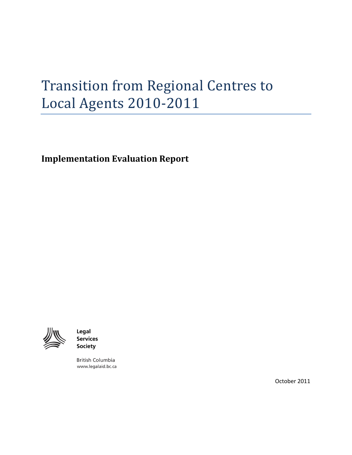# Transition from Regional Centres to Local Agents 2010-2011

<span id="page-0-0"></span>**Implementation Evaluation Report**

<span id="page-0-1"></span>

Legal **Services Society** 

**British Columbia** www.legalaid.bc.ca

October 2011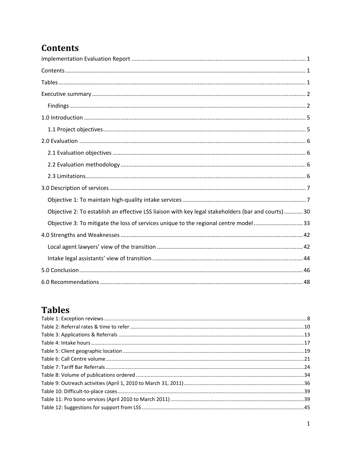# <span id="page-1-0"></span>**Contents**

| Objective 2: To establish an effective LSS liaison with key legal stakeholders (bar and courts)30 |
|---------------------------------------------------------------------------------------------------|
| Objective 3: To mitigate the loss of services unique to the regional centre model33               |
|                                                                                                   |
|                                                                                                   |
|                                                                                                   |
|                                                                                                   |
|                                                                                                   |

# <span id="page-1-1"></span>**Tables**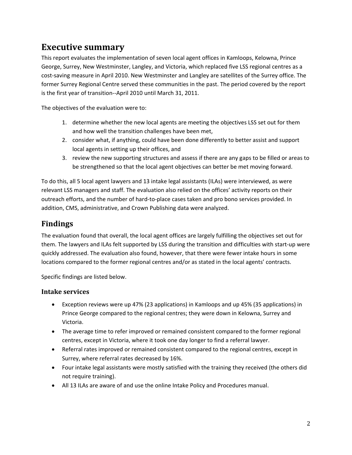## <span id="page-2-0"></span>**Executive summary**

This report evaluates the implementation of seven local agent offices in Kamloops, Kelowna, Prince George, Surrey, New Westminster, Langley, and Victoria, which replaced five LSS regional centres as a cost-saving measure in April 2010. New Westminster and Langley are satellites of the Surrey office. The former Surrey Regional Centre served these communities in the past. The period covered by the report is the first year of transition--April 2010 until March 31, 2011.

The objectives of the evaluation were to:

- 1. determine whether the new local agents are meeting the objectives LSS set out for them and how well the transition challenges have been met,
- 2. consider what, if anything, could have been done differently to better assist and support local agents in setting up their offices, and
- 3. review the new supporting structures and assess if there are any gaps to be filled or areas to be strengthened so that the local agent objectives can better be met moving forward.

To do this, all 5 local agent lawyers and 13 intake legal assistants (ILAs) were interviewed, as were relevant LSS managers and staff. The evaluation also relied on the offices' activity reports on their outreach efforts, and the number of hard-to-place cases taken and pro bono services provided. In addition, CMS, administrative, and Crown Publishing data were analyzed.

### <span id="page-2-1"></span>**Findings**

The evaluation found that overall, the local agent offices are largely fulfilling the objectives set out for them. The lawyers and ILAs felt supported by LSS during the transition and difficulties with start-up were quickly addressed. The evaluation also found, however, that there were fewer intake hours in some locations compared to the former regional centres and/or as stated in the local agents' contracts.

Specific findings are listed below.

### **Intake services**

- Exception reviews were up 47% (23 applications) in Kamloops and up 45% (35 applications) in Prince George compared to the regional centres; they were down in Kelowna, Surrey and Victoria.
- The average time to refer improved or remained consistent compared to the former regional centres, except in Victoria, where it took one day longer to find a referral lawyer.
- Referral rates improved or remained consistent compared to the regional centres, except in Surrey, where referral rates decreased by 16%.
- Four intake legal assistants were mostly satisfied with the training they received (the others did not require training).
- All 13 ILAs are aware of and use the online Intake Policy and Procedures manual.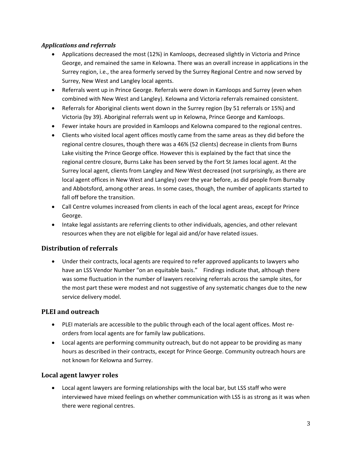### *Applications and referrals*

- Applications decreased the most (12%) in Kamloops, decreased slightly in Victoria and Prince George, and remained the same in Kelowna. There was an overall increase in applications in the Surrey region, i.e., the area formerly served by the Surrey Regional Centre and now served by Surrey, New West and Langley local agents.
- Referrals went up in Prince George. Referrals were down in Kamloops and Surrey (even when combined with New West and Langley). Kelowna and Victoria referrals remained consistent.
- Referrals for Aboriginal clients went down in the Surrey region (by 51 referrals or 15%) and Victoria (by 39). Aboriginal referrals went up in Kelowna, Prince George and Kamloops.
- Fewer intake hours are provided in Kamloops and Kelowna compared to the regional centres.
- Clients who visited local agent offices mostly came from the same areas as they did before the regional centre closures, though there was a 46% (52 clients) decrease in clients from Burns Lake visiting the Prince George office. However this is explained by the fact that since the regional centre closure, Burns Lake has been served by the Fort St James local agent. At the Surrey local agent, clients from Langley and New West decreased (not surprisingly, as there are local agent offices in New West and Langley) over the year before, as did people from Burnaby and Abbotsford, among other areas. In some cases, though, the number of applicants started to fall off before the transition.
- Call Centre volumes increased from clients in each of the local agent areas, except for Prince George.
- Intake legal assistants are referring clients to other individuals, agencies, and other relevant resources when they are not eligible for legal aid and/or have related issues.

### **Distribution of referrals**

• Under their contracts, local agents are required to refer approved applicants to lawyers who have an LSS Vendor Number "on an equitable basis." Findings indicate that, although there was some fluctuation in the number of lawyers receiving referrals across the sample sites, for the most part these were modest and not suggestive of any systematic changes due to the new service delivery model.

### **PLEI and outreach**

- PLEI materials are accessible to the public through each of the local agent offices. Most reorders from local agents are for family law publications.
- Local agents are performing community outreach, but do not appear to be providing as many hours as described in their contracts, except for Prince George. Community outreach hours are not known for Kelowna and Surrey.

### **Local agent lawyer roles**

• Local agent lawyers are forming relationships with the local bar, but LSS staff who were interviewed have mixed feelings on whether communication with LSS is as strong as it was when there were regional centres.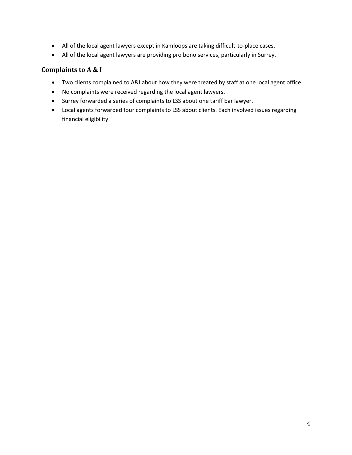- All of the local agent lawyers except in Kamloops are taking difficult-to-place cases.
- All of the local agent lawyers are providing pro bono services, particularly in Surrey.

### **Complaints to A & I**

- Two clients complained to A&I about how they were treated by staff at one local agent office.
- No complaints were received regarding the local agent lawyers.
- Surrey forwarded a series of complaints to LSS about one tariff bar lawyer.
- Local agents forwarded four complaints to LSS about clients. Each involved issues regarding financial eligibility.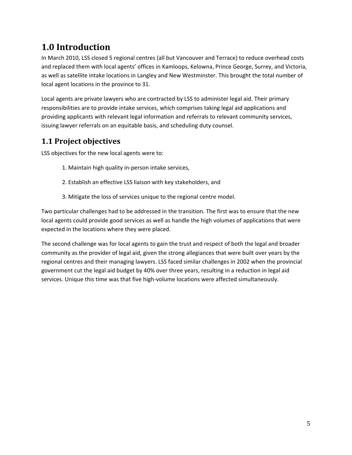# <span id="page-5-0"></span>**1.0 Introduction**

In March 2010, LSS closed 5 regional centres (all but Vancouver and Terrace) to reduce overhead costs and replaced them with local agents' offices in Kamloops, Kelowna, Prince George, Surrey, and Victoria, as well as satellite intake locations in Langley and New Westminster. This brought the total number of local agent locations in the province to 31.

Local agents are private lawyers who are contracted by LSS to administer legal aid. Their primary responsibilities are to provide intake services, which comprises taking legal aid applications and providing applicants with relevant legal information and referrals to relevant community services, issuing lawyer referrals on an equitable basis, and scheduling duty counsel.

### <span id="page-5-1"></span>**1.1 Project objectives**

LSS objectives for the new local agents were to:

- 1. Maintain high quality in-person intake services,
- 2. Establish an effective LSS liaison with key stakeholders, and
- 3. Mitigate the loss of services unique to the regional centre model.

Two particular challenges had to be addressed in the transition. The first was to ensure that the new local agents could provide good services as well as handle the high volumes of applications that were expected in the locations where they were placed.

The second challenge was for local agents to gain the trust and respect of both the legal and broader community as the provider of legal aid, given the strong allegiances that were built over years by the regional centres and their managing lawyers. LSS faced similar challenges in 2002 when the provincial government cut the legal aid budget by 40% over three years, resulting in a reduction in legal aid services. Unique this time was that five high-volume locations were affected simultaneously.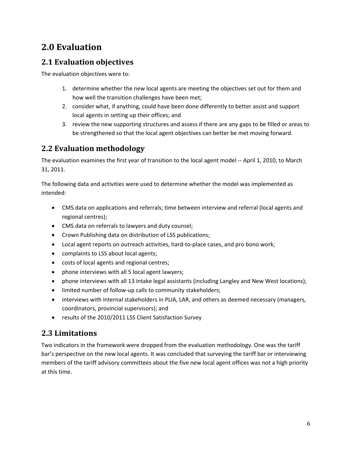# <span id="page-6-0"></span>**2.0 Evaluation**

### <span id="page-6-1"></span>**2.1 Evaluation objectives**

The evaluation objectives were to:

- 1. determine whether the new local agents are meeting the objectives set out for them and how well the transition challenges have been met;
- 2. consider what, if anything, could have been done differently to better assist and support local agents in setting up their offices; and
- 3. review the new supporting structures and assess if there are any gaps to be filled or areas to be strengthened so that the local agent objectives can better be met moving forward.

### <span id="page-6-2"></span>**2.2 Evaluation methodology**

The evaluation examines the first year of transition to the local agent model -- April 1, 2010, to March 31, 2011.

The following data and activities were used to determine whether the model was implemented as intended:

- CMS data on applications and referrals; time between interview and referral (local agents and regional centres);
- CMS data on referrals to lawyers and duty counsel;
- Crown Publishing data on distribution of LSS publications;
- Local agent reports on outreach activities, hard-to-place cases, and pro bono work;
- complaints to LSS about local agents;
- costs of local agents and regional centres;
- phone interviews with all 5 local agent lawyers;
- phone interviews with all 13 intake legal assistants (including Langley and New West locations);
- limited number of follow-up calls to community stakeholders;
- interviews with internal stakeholders in PLIA, LAR, and others as deemed necessary (managers, coordinators, provincial supervisors); and
- results of the 2010/2011 LSS Client Satisfaction Survey

### <span id="page-6-3"></span>**2.3 Limitations**

Two indicators in the framework were dropped from the evaluation methodology. One was the tariff bar's perspective on the new local agents. It was concluded that surveying the tariff bar or interviewing members of the tariff advisory committees about the five new local agent offices was not a high priority at this time.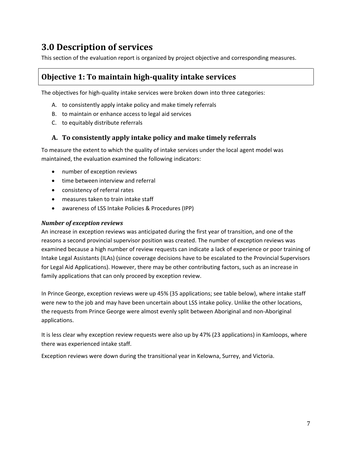# <span id="page-7-0"></span>**3.0 Description of services**

This section of the evaluation report is organized by project objective and corresponding measures.

### <span id="page-7-1"></span>**Objective 1: To maintain high-quality intake services**

The objectives for high-quality intake services were broken down into three categories:

- A. to consistently apply intake policy and make timely referrals
- B. to maintain or enhance access to legal aid services
- C. to equitably distribute referrals

### **A. To consistently apply intake policy and make timely referrals**

To measure the extent to which the quality of intake services under the local agent model was maintained, the evaluation examined the following indicators:

- number of exception reviews
- time between interview and referral
- consistency of referral rates
- measures taken to train intake staff
- awareness of LSS Intake Policies & Procedures (IPP)

### *Number of exception reviews*

An increase in exception reviews was anticipated during the first year of transition, and one of the reasons a second provincial supervisor position was created. The number of exception reviews was examined because a high number of review requests can indicate a lack of experience or poor training of Intake Legal Assistants (ILAs) (since coverage decisions have to be escalated to the Provincial Supervisors for Legal Aid Applications). However, there may be other contributing factors, such as an increase in family applications that can only proceed by exception review.

In Prince George, exception reviews were up 45% (35 applications; see table below), where intake staff were new to the job and may have been uncertain about LSS intake policy. Unlike the other locations, the requests from Prince George were almost evenly split between Aboriginal and non-Aboriginal applications.

It is less clear why exception review requests were also up by 47% (23 applications) in Kamloops, where there was experienced intake staff.

Exception reviews were down during the transitional year in Kelowna, Surrey, and Victoria.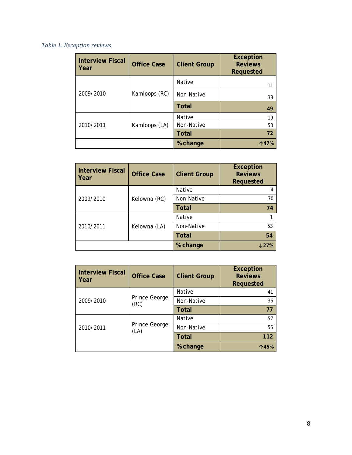### <span id="page-8-0"></span>*Table 1: Exception reviews*

| <b>Interview Fiscal</b><br>l Year | <b>Office Case</b> | <b>Client Group</b> | <b>Exception</b><br><b>Reviews</b><br>Requested |
|-----------------------------------|--------------------|---------------------|-------------------------------------------------|
|                                   |                    | Native              | 11                                              |
| 2009/2010                         | Kamloops (RC)      | Non-Native          | 38                                              |
|                                   |                    | <b>Total</b>        | 49                                              |
|                                   |                    | Native              | 19                                              |
| 2010/2011                         | Kamloops (LA)      | Non-Native          | 53                                              |
|                                   |                    | <b>Total</b>        | 72                                              |
|                                   |                    | % change            | <b>↑47%</b>                                     |

| <b>Interview Fiscal</b><br>Year | <b>Office Case</b> | <b>Client Group</b> | <b>Exception</b><br><b>Reviews</b><br><b>Requested</b> |
|---------------------------------|--------------------|---------------------|--------------------------------------------------------|
|                                 |                    | Native              |                                                        |
| 2009/2010                       | Kelowna (RC)       | Non-Native          | 70                                                     |
|                                 |                    | <b>Total</b>        | 74                                                     |
|                                 |                    | Native              |                                                        |
| 2010/2011                       | Kelowna (LA)       | Non-Native          | 53                                                     |
|                                 |                    | <b>Total</b>        | 54                                                     |
|                                 |                    | % change            | J27%                                                   |

| <b>Interview Fiscal</b><br>Year | <b>Office Case</b>    | <b>Client Group</b> | <b>Exception</b><br><b>Reviews</b><br>Requested |
|---------------------------------|-----------------------|---------------------|-------------------------------------------------|
|                                 |                       | Native              | 41                                              |
| 2009/2010                       | Prince George<br>(RC) | Non-Native          | 36                                              |
|                                 |                       | <b>Total</b>        | 77                                              |
| 2010/2011                       | Prince George<br>(LA) | Native              | 57                                              |
|                                 |                       | Non-Native          | 55                                              |
|                                 |                       | <b>Total</b>        | 112                                             |
|                                 |                       | % change            | 个45%                                            |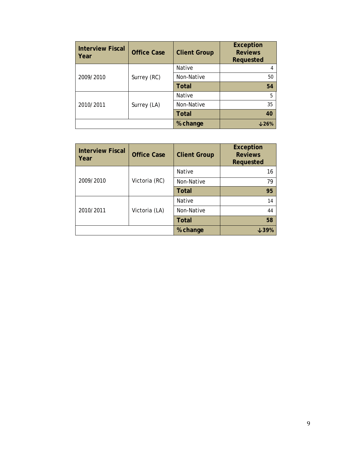| <b>Interview Fiscal</b><br>Year | <b>Office Case</b> | <b>Client Group</b> | <b>Exception</b><br><b>Reviews</b><br>Requested |
|---------------------------------|--------------------|---------------------|-------------------------------------------------|
|                                 |                    | Native              | 4                                               |
| 2009/2010                       | Surrey (RC)        | Non-Native          | 50                                              |
|                                 |                    | <b>Total</b>        | 54                                              |
|                                 |                    | Native              | 5                                               |
| 2010/2011                       | Surrey (LA)        | Non-Native          | 35                                              |
|                                 |                    | <b>Total</b>        | 40                                              |
|                                 |                    | % change            | J26%                                            |

| <b>Interview Fiscal</b><br>Year | <b>Office Case</b> | <b>Client Group</b> | <b>Exception</b><br><b>Reviews</b><br>Requested |
|---------------------------------|--------------------|---------------------|-------------------------------------------------|
|                                 |                    | Native              | 16                                              |
| 2009/2010                       | Victoria (RC)      | Non-Native          | 79                                              |
|                                 |                    | Total               | 95                                              |
|                                 |                    | Native              | 14                                              |
| 2010/2011                       | Victoria (LA)      | Non-Native          | 44                                              |
|                                 |                    | <b>Total</b>        | 58                                              |
|                                 |                    | % change            | む39%                                            |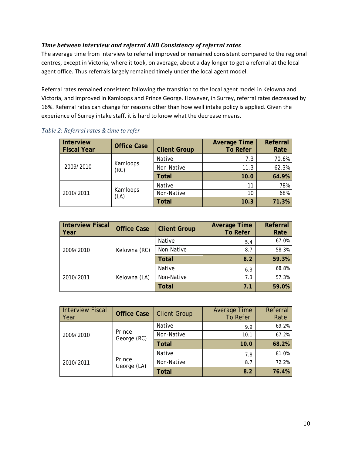### *Time between interview and referral AND Consistency of referral rates*

The average time from interview to referral improved or remained consistent compared to the regional centres, except in Victoria, where it took, on average, about a day longer to get a referral at the local agent office. Thus referrals largely remained timely under the local agent model.

Referral rates remained consistent following the transition to the local agent model in Kelowna and Victoria, and improved in Kamloops and Prince George. However, in Surrey, referral rates decreased by 16%. Referral rates can change for reasons other than how well intake policy is applied. Given the experience of Surrey intake staff, it is hard to know what the decrease means.

| <b>Interview</b><br><b>Fiscal Year</b> | <b>Office Case</b> | <b>Client Group</b> | <b>Average Time</b><br><b>To Refer</b> | Referral<br>Rate |
|----------------------------------------|--------------------|---------------------|----------------------------------------|------------------|
| Kamloops<br>2009/2010<br>(RC)          | Native             | 7.3                 | 70.6%                                  |                  |
|                                        | Non-Native         | 11.3                | 62.3%                                  |                  |
|                                        |                    | <b>Total</b>        | 10.0                                   | 64.9%            |
| Kamloops<br>2010/2011<br>(LA)          | Native             | 11                  | 78%                                    |                  |
|                                        |                    | Non-Native          | 10                                     | 68%              |
|                                        |                    | <b>Total</b>        | 10.3                                   | 71.3%            |

### <span id="page-10-0"></span>*Table 2: Referral rates & time to refer*

| <b>Interview Fiscal</b><br>Year | <b>Office Case</b> | <b>Client Group</b> | <b>Average Time</b><br><b>To Refer</b> | Referral<br>Rate |
|---------------------------------|--------------------|---------------------|----------------------------------------|------------------|
| 2009/2010<br>Kelowna (RC)       |                    | Native              | 5.4                                    | 67.0%            |
|                                 |                    | Non-Native          | 8.7                                    | 58.3%            |
|                                 |                    | <b>Total</b>        | 8.2                                    | 59.3%            |
| 2010/2011                       | Kelowna (LA)       | Native              | 6.3                                    | 68.8%            |
|                                 |                    | Non-Native          | 7.3                                    | 57.3%            |
|                                 |                    | <b>Total</b>        | 7.1                                    | 59.0%            |

| <b>Interview Fiscal</b><br>Year    | <b>Office Case</b>    | <b>Client Group</b> | Average Time<br><b>To Refer</b> | Referral<br>Rate |
|------------------------------------|-----------------------|---------------------|---------------------------------|------------------|
| Prince<br>2009/2010<br>George (RC) | Native                | 9.9                 | 69.2%                           |                  |
|                                    |                       | Non-Native          | 10.1                            | 67.2%            |
|                                    |                       | <b>Total</b>        | 10.0                            | 68.2%            |
| 2010/2011                          | Prince<br>George (LA) | Native              | 7.8                             | 81.0%            |
|                                    |                       | Non-Native          | 8.7                             | 72.2%            |
|                                    |                       | <b>Total</b>        | 8.2                             | 76.4%            |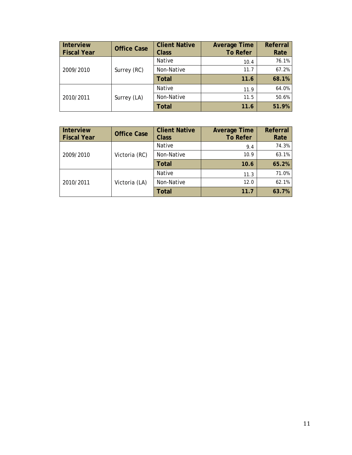| <b>Interview</b><br><b>Fiscal Year</b> | <b>Office Case</b> | <b>Client Native</b><br><b>Class</b> | <b>Average Time</b><br><b>To Refer</b> | Referral<br>Rate |
|----------------------------------------|--------------------|--------------------------------------|----------------------------------------|------------------|
| 2009/2010                              |                    | Native                               | 10.4                                   | 76.1%            |
|                                        | Surrey (RC)        | Non-Native                           | 11.7                                   | 67.2%            |
|                                        |                    | <b>Total</b>                         | 11.6                                   | 68.1%            |
| 2010/2011                              |                    | Native                               | 11.9                                   | 64.0%            |
|                                        | Surrey (LA)        | Non-Native                           | 11.5                                   | 50.6%            |
|                                        |                    | <b>Total</b>                         | 11.6                                   | 51.9%            |

| Interview<br><b>Fiscal Year</b> | <b>Office Case</b> | <b>Client Native</b><br><b>Class</b> | <b>Average Time</b><br><b>To Refer</b> | Referral<br>Rate |
|---------------------------------|--------------------|--------------------------------------|----------------------------------------|------------------|
| 2009/2010<br>Victoria (RC)      |                    | Native                               | 9.4                                    | 74.3%            |
|                                 |                    | Non-Native                           | 10.9                                   | 63.1%            |
|                                 |                    | Total                                | 10.6                                   | 65.2%            |
| 2010/2011                       |                    | Native                               | 11.3                                   | 71.0%            |
|                                 | Victoria (LA)      | Non-Native                           | 12.0                                   | 62.1%            |
|                                 |                    | <b>Total</b>                         | 11.7                                   | 63.7%            |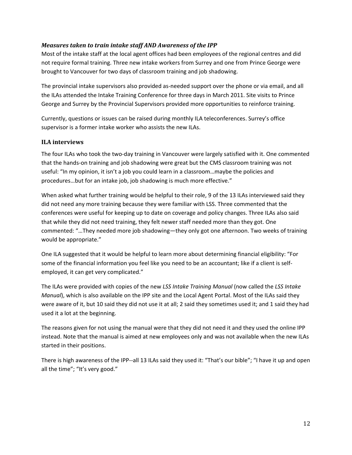### *Measures taken to train intake staff AND Awareness of the IPP*

Most of the intake staff at the local agent offices had been employees of the regional centres and did not require formal training. Three new intake workers from Surrey and one from Prince George were brought to Vancouver for two days of classroom training and job shadowing.

The provincial intake supervisors also provided as-needed support over the phone or via email, and all the ILAs attended the Intake Training Conference for three days in March 2011. Site visits to Prince George and Surrey by the Provincial Supervisors provided more opportunities to reinforce training.

Currently, questions or issues can be raised during monthly ILA teleconferences. Surrey's office supervisor is a former intake worker who assists the new ILAs.

### **ILA interviews**

The four ILAs who took the two-day training in Vancouver were largely satisfied with it. One commented that the hands-on training and job shadowing were great but the CMS classroom training was not useful: "In my opinion, it isn't a job you could learn in a classroom…maybe the policies and procedures…but for an intake job, job shadowing is much more effective."

When asked what further training would be helpful to their role, 9 of the 13 ILAs interviewed said they did not need any more training because they were familiar with LSS. Three commented that the conferences were useful for keeping up to date on coverage and policy changes. Three ILAs also said that while they did not need training, they felt newer staff needed more than they got. One commented: "…They needed more job shadowing—they only got one afternoon. Two weeks of training would be appropriate."

One ILA suggested that it would be helpful to learn more about determining financial eligibility: "For some of the financial information you feel like you need to be an accountant; like if a client is selfemployed, it can get very complicated."

The ILAs were provided with copies of the new *LSS Intake Training Manual* (now called the *LSS Intake Manual*), which is also available on the IPP site and the Local Agent Portal. Most of the ILAs said they were aware of it, but 10 said they did not use it at all; 2 said they sometimes used it; and 1 said they had used it a lot at the beginning.

The reasons given for not using the manual were that they did not need it and they used the online IPP instead. Note that the manual is aimed at new employees only and was not available when the new ILAs started in their positions.

There is high awareness of the IPP--all 13 ILAs said they used it: "That's our bible"; "I have it up and open all the time"; "It's very good."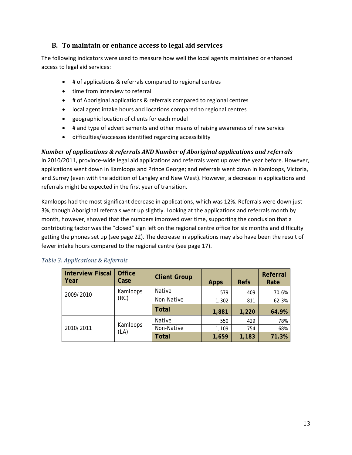### **B. To maintain or enhance access to legal aid services**

The following indicators were used to measure how well the local agents maintained or enhanced access to legal aid services:

- # of applications & referrals compared to regional centres
- time from interview to referral
- # of Aboriginal applications & referrals compared to regional centres
- local agent intake hours and locations compared to regional centres
- geographic location of clients for each model
- # and type of advertisements and other means of raising awareness of new service
- difficulties/successes identified regarding accessibility

### *Number of applications & referrals AND Number of Aboriginal applications and referrals*

In 2010/2011, province-wide legal aid applications and referrals went up over the year before. However, applications went down in Kamloops and Prince George; and referrals went down in Kamloops, Victoria, and Surrey (even with the addition of Langley and New West). However, a decrease in applications and referrals might be expected in the first year of transition.

Kamloops had the most significant decrease in applications, which was 12%. Referrals were down just 3%, though Aboriginal referrals went up slightly. Looking at the applications and referrals month by month, however, showed that the numbers improved over time, supporting the conclusion that a contributing factor was the "closed" sign left on the regional centre office for six months and difficulty getting the phones set up (see page 22). The decrease in applications may also have been the result of fewer intake hours compared to the regional centre (see page 17).

| <b>Interview Fiscal</b><br>Year | <b>Office</b><br>Case | <b>Client Group</b> | <b>Apps</b> | <b>Refs</b> | Referral<br>Rate |
|---------------------------------|-----------------------|---------------------|-------------|-------------|------------------|
| 2009/2010                       | Kamloops              | Native              | 579         | 409         | 70.6%            |
|                                 | (RC)                  | Non-Native          | 1,302       | 811         | 62.3%            |
|                                 |                       | <b>Total</b>        | 1,881       | 1,220       | 64.9%            |
|                                 | Kamloops<br>(LA)      | Native              | 550         | 429         | 78%              |
| 2010/2011                       |                       | Non-Native          | 1,109       | 754         | 68%              |
|                                 |                       | <b>Total</b>        | 1,659       | 1,183       | 71.3%            |

### <span id="page-13-0"></span>*Table 3: Applications & Referrals*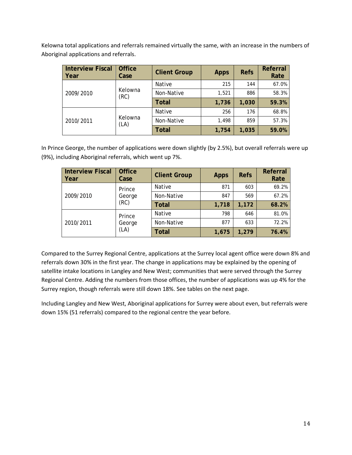Kelowna total applications and referrals remained virtually the same, with an increase in the numbers of Aboriginal applications and referrals.

| <b>Interview Fiscal</b><br>Year | <b>Office</b><br>Case | <b>Client Group</b> | <b>Apps</b> | <b>Refs</b> | Referral<br>Rate |
|---------------------------------|-----------------------|---------------------|-------------|-------------|------------------|
| 2009/2010                       |                       | Native              | 215         | 144         | 67.0%            |
|                                 | Kelowna<br>(RC)       | Non-Native          | 1,521       | 886         | 58.3%            |
|                                 |                       | Total               | 1,736       | 1,030       | 59.3%            |
| 2010/2011                       | Kelowna<br>(LA)       | <b>Native</b>       | 256         | 176         | 68.8%            |
|                                 |                       | Non-Native          | 1,498       | 859         | 57.3%            |
|                                 |                       | <b>Total</b>        | 1,754       | 1,035       | 59.0%            |

In Prince George, the number of applications were down slightly (by 2.5%), but overall referrals were up (9%), including Aboriginal referrals, which went up 7%.

| <b>Interview Fiscal</b><br><b>Year</b> | <b>Office</b><br>Case    | <b>Client Group</b> | <b>Apps</b> | <b>Refs</b> | Referral<br>Rate |
|----------------------------------------|--------------------------|---------------------|-------------|-------------|------------------|
|                                        | Prince                   | <b>Native</b>       | 871         | 603         | 69.2%            |
| 2009/2010                              | George<br>(RC)           | Non-Native          | 847         | 569         | 67.2%            |
|                                        |                          | <b>Total</b>        | 1,718       | 1,172       | 68.2%            |
| 2010/2011                              | Prince<br>George<br>(LA) | <b>Native</b>       | 798         | 646         | 81.0%            |
|                                        |                          | Non-Native          | 877         | 633         | 72.2%            |
|                                        |                          | <b>Total</b>        | 1,675       | 1,279       | 76.4%            |

Compared to the Surrey Regional Centre, applications at the Surrey local agent office were down 8% and referrals down 30% in the first year. The change in applications may be explained by the opening of satellite intake locations in Langley and New West; communities that were served through the Surrey Regional Centre. Adding the numbers from those offices, the number of applications was up 4% for the Surrey region, though referrals were still down 18%. See tables on the next page.

Including Langley and New West, Aboriginal applications for Surrey were about even, but referrals were down 15% (51 referrals) compared to the regional centre the year before.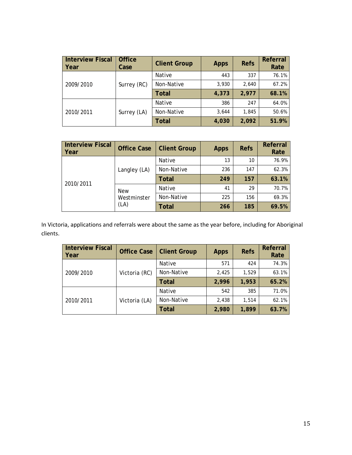| <b>Interview Fiscal</b><br>  Year | <b>Office</b><br>Case | <b>Client Group</b> | <b>Apps</b> | <b>Refs</b> | Referral<br>Rate |
|-----------------------------------|-----------------------|---------------------|-------------|-------------|------------------|
|                                   |                       | Native              | 443         | 337         | 76.1%            |
| 2009/2010                         | Surrey (RC)           | Non-Native          | 3,930       | 2,640       | 67.2%            |
|                                   |                       | <b>Total</b>        | 4,373       | 2,977       | 68.1%            |
|                                   | Surrey (LA)           | Native              | 386         | 247         | 64.0%            |
| 2010/2011                         |                       | Non-Native          | 3,644       | 1,845       | 50.6%            |
|                                   |                       | <b>Total</b>        | 4,030       | 2,092       | 51.9%            |

| <b>Interview Fiscal</b><br>Year | <b>Office Case</b>                | <b>Client Group</b> | <b>Apps</b> | <b>Refs</b> | Referral<br>Rate |
|---------------------------------|-----------------------------------|---------------------|-------------|-------------|------------------|
|                                 |                                   | Native              | 13          | 10          | 76.9%            |
|                                 | Langley (LA)                      | Non-Native          | 236         | 147         | 62.3%            |
| 2010/2011                       |                                   | <b>Total</b>        | 249         | 157         | 63.1%            |
|                                 | <b>New</b><br>Westminster<br>(LA) | Native              | 41          | 29          | 70.7%            |
|                                 |                                   | Non-Native          | 225         | 156         | 69.3%            |
|                                 |                                   | <b>Total</b>        | 266         | 185         | 69.5%            |

In Victoria, applications and referrals were about the same as the year before, including for Aboriginal clients.

| <b>Interview Fiscal</b><br>Year | <b>Office Case</b> | <b>Client Group</b> | <b>Apps</b> | <b>Refs</b> | Referral<br>Rate |
|---------------------------------|--------------------|---------------------|-------------|-------------|------------------|
|                                 |                    | <b>Native</b>       | 571         | 424         | 74.3%            |
| 2009/2010                       | Victoria (RC)      | Non-Native          | 2,425       | 1,529       | 63.1%            |
|                                 |                    | <b>Total</b>        | 2,996       | 1,953       | 65.2%            |
| 2010/2011                       | Victoria (LA)      | <b>Native</b>       | 542         | 385         | 71.0%            |
|                                 |                    | Non-Native          | 2,438       | 1.514       | 62.1%            |
|                                 |                    | <b>Total</b>        | 2,980       | 1,899       | 63.7%            |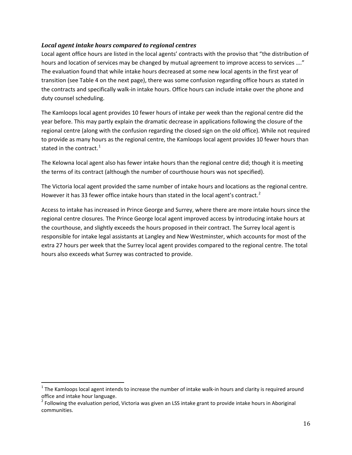### *Local agent intake hours compared to regional centres*

Local agent office hours are listed in the local agents' contracts with the proviso that "the distribution of hours and location of services may be changed by mutual agreement to improve access to services …." The evaluation found that while intake hours decreased at some new local agents in the first year of transition (see Table 4 on the next page), there was some confusion regarding office hours as stated in the contracts and specifically walk-in intake hours. Office hours can include intake over the phone and duty counsel scheduling.

The Kamloops local agent provides 10 fewer hours of intake per week than the regional centre did the year before. This may partly explain the dramatic decrease in applications following the closure of the regional centre (along with the confusion regarding the closed sign on the old office). While not required to provide as many hours as the regional centre, the Kamloops local agent provides 10 fewer hours than stated in the contract. $1$ 

The Kelowna local agent also has fewer intake hours than the regional centre did; though it is meeting the terms of its contract (although the number of courthouse hours was not specified).

The Victoria local agent provided the same number of intake hours and locations as the regional centre. However it has 33 fewer office intake hours than stated in the local agent's contract.<sup>[2](#page-16-0)</sup>

Access to intake has increased in Prince George and Surrey, where there are more intake hours since the regional centre closures. The Prince George local agent improved access by introducing intake hours at the courthouse, and slightly exceeds the hours proposed in their contract. The Surrey local agent is responsible for intake legal assistants at Langley and New Westminster, which accounts for most of the extra 27 hours per week that the Surrey local agent provides compared to the regional centre. The total hours also exceeds what Surrey was contracted to provide.

 $1$  The Kamloops local agent intends to increase the number of intake walk-in hours and clarity is required around office and intake hour language.<br><sup>2</sup> Following the evaluation period, Victoria was given an LSS intake grant to provide intake hours in Aboriginal

<span id="page-16-1"></span><span id="page-16-0"></span>communities.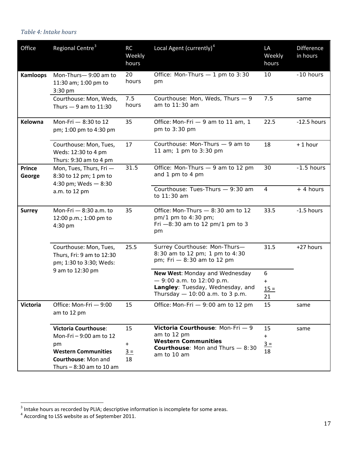# <span id="page-17-0"></span>*Table 4: Intake hours*

| Office                  | Regional Centre <sup>3</sup>                                                                                                                   | RC<br>Weekly<br>hours    | Local Agent (currently) <sup>4</sup>                                                                                                | LA<br>Weekly<br>hours          | <b>Difference</b><br>in hours |
|-------------------------|------------------------------------------------------------------------------------------------------------------------------------------------|--------------------------|-------------------------------------------------------------------------------------------------------------------------------------|--------------------------------|-------------------------------|
| <b>Kamloops</b>         | Mon-Thurs-9:00 am to<br>11:30 am; 1:00 pm to<br>3:30 pm                                                                                        | 20<br>hours              | Office: Mon-Thurs - 1 pm to 3:30<br>pm                                                                                              | 10                             | -10 hours                     |
|                         | Courthouse: Mon, Weds,<br>Thurs $-9$ am to 11:30                                                                                               | 7.5<br>hours             | Courthouse: Mon, Weds, Thurs - 9<br>am to 11:30 am                                                                                  | 7.5                            | same                          |
| Kelowna                 | Mon-Fri - 8:30 to 12<br>pm; 1:00 pm to 4:30 pm                                                                                                 | 35                       | Office: Mon-Fri - 9 am to 11 am, 1<br>pm to 3:30 pm                                                                                 | 22.5                           | $-12.5$ hours                 |
|                         | Courthouse: Mon, Tues,<br>Weds: 12:30 to 4 pm<br>Thurs: 9:30 am to 4 pm                                                                        | 17                       | Courthouse: Mon-Thurs - 9 am to<br>11 am; 1 pm to 3:30 pm                                                                           | 18                             | $+1$ hour                     |
| <b>Prince</b><br>George | Mon, Tues, Thurs, Fri-<br>8:30 to 12 pm; 1 pm to<br>4:30 pm; Weds $-8:30$                                                                      | 31.5                     | Office: Mon-Thurs - 9 am to 12 pm<br>and 1 pm to 4 pm                                                                               | 30                             | $-1.5$ hours                  |
|                         | a.m. to 12 pm                                                                                                                                  |                          | Courthouse: Tues-Thurs - 9:30 am<br>to 11:30 am                                                                                     | $\overline{4}$                 | + 4 hours                     |
| <b>Surrey</b>           | Mon-Fri - 8:30 a.m. to<br>12:00 p.m.; 1:00 pm to<br>$4:30$ pm                                                                                  | 35                       | Office: Mon-Thurs $-8:30$ am to 12<br>pm/1 pm to 4:30 pm;<br>Fri $-8:30$ am to 12 pm/1 pm to 3<br>pm                                | 33.5                           | $-1.5$ hours                  |
|                         | Courthouse: Mon, Tues,<br>Thurs, Fri: 9 am to 12:30<br>pm; 1:30 to 3:30; Weds:                                                                 | 25.5                     | Surrey Courthouse: Mon-Thurs-<br>8:30 am to 12 pm; 1 pm to 4:30<br>pm; Fri - 8:30 am to 12 pm                                       | 31.5                           | +27 hours                     |
|                         | 9 am to 12:30 pm                                                                                                                               |                          | New West: Monday and Wednesday<br>$-9:00$ a.m. to 12:00 p.m.<br>Langley: Tuesday, Wednesday, and<br>Thursday - 10:00 a.m. to 3 p.m. | 6<br>$\ddot{}$<br>$15 =$<br>21 |                               |
| <b>Victoria</b>         | Office: Mon-Fri - 9:00<br>am to 12 pm                                                                                                          | 15                       | Office: Mon-Fri - 9:00 am to 12 pm                                                                                                  | 15                             | same                          |
|                         | <b>Victoria Courthouse:</b><br>Mon-Fri - 9:00 am to 12<br>pm<br><b>Western Communities</b><br>Courthouse: Mon and<br>Thurs $-8:30$ am to 10 am | 15<br>$+$<br>$3 =$<br>18 | Victoria Courthouse: Mon-Fri - 9<br>am to 12 pm<br><b>Western Communities</b><br>Courthouse: Mon and Thurs - 8:30<br>am to 10 am    | 15<br>$+$<br>$3 =$<br>18       | same                          |

<span id="page-17-2"></span> $3$  Intake hours as recorded by PLIA; descriptive information is incomplete for some areas.

<span id="page-17-1"></span> $<sup>4</sup>$  According to LSS website as of September 2011.</sup>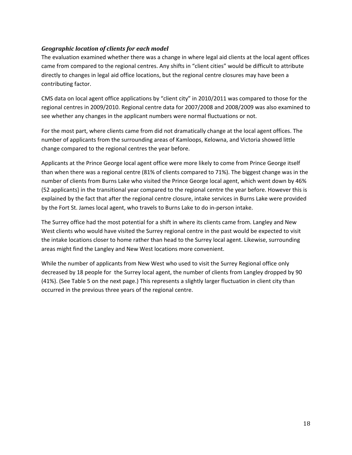### *Geographic location of clients for each model*

The evaluation examined whether there was a change in where legal aid clients at the local agent offices came from compared to the regional centres. Any shifts in "client cities" would be difficult to attribute directly to changes in legal aid office locations, but the regional centre closures may have been a contributing factor.

CMS data on local agent office applications by "client city" in 2010/2011 was compared to those for the regional centres in 2009/2010. Regional centre data for 2007/2008 and 2008/2009 was also examined to see whether any changes in the applicant numbers were normal fluctuations or not.

For the most part, where clients came from did not dramatically change at the local agent offices. The number of applicants from the surrounding areas of Kamloops, Kelowna, and Victoria showed little change compared to the regional centres the year before.

Applicants at the Prince George local agent office were more likely to come from Prince George itself than when there was a regional centre (81% of clients compared to 71%). The biggest change was in the number of clients from Burns Lake who visited the Prince George local agent, which went down by 46% (52 applicants) in the transitional year compared to the regional centre the year before. However this is explained by the fact that after the regional centre closure, intake services in Burns Lake were provided by the Fort St. James local agent, who travels to Burns Lake to do in-person intake.

The Surrey office had the most potential for a shift in where its clients came from. Langley and New West clients who would have visited the Surrey regional centre in the past would be expected to visit the intake locations closer to home rather than head to the Surrey local agent. Likewise, surrounding areas might find the Langley and New West locations more convenient.

While the number of applicants from New West who used to visit the Surrey Regional office only decreased by 18 people for the Surrey local agent, the number of clients from Langley dropped by 90 (41%). (See Table 5 on the next page.) This represents a slightly larger fluctuation in client city than occurred in the previous three years of the regional centre.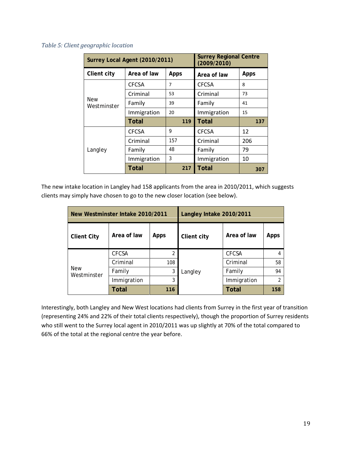#### <span id="page-19-0"></span>*Table 5: Client geographic location*

|                           | Surrey Local Agent (2010/2011) | <b>Surrey Regional Centre</b><br>(2009/2010) |              |      |
|---------------------------|--------------------------------|----------------------------------------------|--------------|------|
| <b>Client city</b>        | Area of law                    | Apps                                         | Area of law  | Apps |
|                           | <b>CFCSA</b>                   | 7                                            | <b>CFCSA</b> | 8    |
|                           | Criminal                       | 53                                           | Criminal     | 73   |
| <b>New</b><br>Westminster | Family                         | 39                                           | Family       | 41   |
|                           | Immigration                    | 20                                           | Immigration  | 15   |
|                           | <b>Total</b>                   | 119                                          | <b>Total</b> | 137  |
|                           | <b>CFCSA</b>                   | 9                                            | <b>CFCSA</b> | 12   |
|                           | Criminal                       | 157                                          | Criminal     | 206  |
| Langley                   | Family                         | 48                                           | Family       | 79   |
|                           | Immigration                    | 3                                            | Immigration  | 10   |
|                           | <b>Total</b>                   | 217                                          | <b>Total</b> | 307  |

The new intake location in Langley had 158 applicants from the area in 2010/2011, which suggests clients may simply have chosen to go to the new closer location (see below).

| New Westminster Intake 2010/2011 |              |                | Langley Intake 2010/2011 |              |      |  |
|----------------------------------|--------------|----------------|--------------------------|--------------|------|--|
| <b>Client City</b>               | Area of law  | <b>Apps</b>    | Client city              | Area of law  | Apps |  |
|                                  | <b>CFCSA</b> | $\overline{2}$ |                          | <b>CFCSA</b> | 4    |  |
|                                  | Criminal     | 108            |                          | Criminal     | 58   |  |
| <b>New</b><br>Westminster        | Family       | 3              | Langley                  | Family       | 94   |  |
|                                  | Immigration  | 3              |                          | Immigration  | 2    |  |
|                                  | Total        | 116            |                          | <b>Total</b> | 158  |  |

Interestingly, both Langley and New West locations had clients from Surrey in the first year of transition (representing 24% and 22% of their total clients respectively), though the proportion of Surrey residents who still went to the Surrey local agent in 2010/2011 was up slightly at 70% of the total compared to 66% of the total at the regional centre the year before.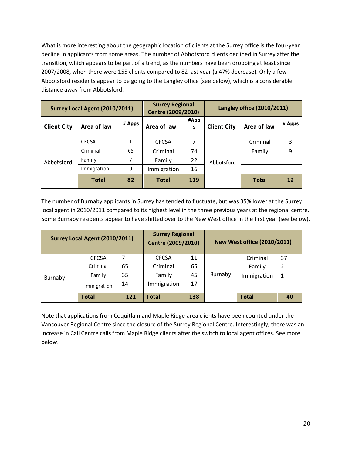What is more interesting about the geographic location of clients at the Surrey office is the four-year decline in applicants from some areas. The number of Abbotsford clients declined in Surrey after the transition, which appears to be part of a trend, as the numbers have been dropping at least since 2007/2008, when there were 155 clients compared to 82 last year (a 47% decrease). Only a few Abbotsford residents appear to be going to the Langley office (see below), which is a considerable distance away from Abbotsford.

| Surrey Local Agent (2010/2011) |              | <b>Surrey Regional</b><br>Centre (2009/2010) |              | Langley office (2010/2011) |                    |             |                   |
|--------------------------------|--------------|----------------------------------------------|--------------|----------------------------|--------------------|-------------|-------------------|
| <b>Client City</b>             | Area of law  | # Apps                                       | Area of law  | #App<br>S                  | <b>Client City</b> | Area of law | # Apps            |
|                                | <b>CFCSA</b> |                                              | <b>CFCSA</b> | 7                          |                    | Criminal    | 3                 |
|                                | Criminal     | 65                                           | Criminal     | 74                         |                    | Family      | 9                 |
| Abbotsford                     | Family       | $\overline{7}$                               | Family       | 22                         | Abbotsford         |             |                   |
|                                | Immigration  | 9                                            | Immigration  | 16                         |                    |             |                   |
|                                | Total        | 82                                           | <b>Total</b> | 119                        |                    | Total       | $12 \overline{ }$ |

The number of Burnaby applicants in Surrey has tended to fluctuate, but was 35% lower at the Surrey local agent in 2010/2011 compared to its highest level in the three previous years at the regional centre. Some Burnaby residents appear to have shifted over to the New West office in the first year (see below).

| Surrey Local Agent (2010/2011) |              | <b>Surrey Regional</b><br>Centre (2009/2010) |              |     | <b>New West office (2010/2011)</b> |              |    |
|--------------------------------|--------------|----------------------------------------------|--------------|-----|------------------------------------|--------------|----|
|                                | <b>CFCSA</b> |                                              | <b>CFCSA</b> | 11  |                                    | Criminal     | 37 |
|                                | Criminal     | 65                                           | Criminal     | 65  |                                    | Family       | 2  |
| Burnaby                        | Family       | 35                                           | Family       | 45  | Burnaby                            | Immigration  | 1  |
|                                | Immigration  | 14                                           | Immigration  | 17  |                                    |              |    |
|                                | Total        | 121                                          | <b>Total</b> | 138 |                                    | <b>Total</b> | 40 |

Note that applications from Coquitlam and Maple Ridge-area clients have been counted under the Vancouver Regional Centre since the closure of the Surrey Regional Centre. Interestingly, there was an increase in Call Centre calls from Maple Ridge clients after the switch to local agent offices. See more below.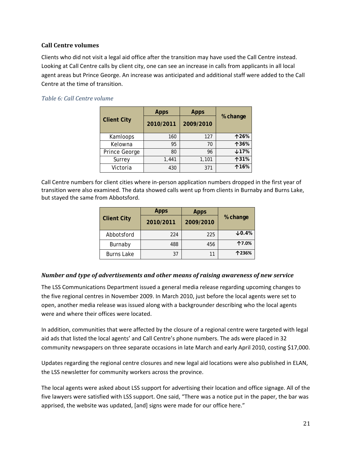#### **Call Centre volumes**

Clients who did not visit a legal aid office after the transition may have used the Call Centre instead. Looking at Call Centre calls by client city, one can see an increase in calls from applicants in all local agent areas but Prince George. An increase was anticipated and additional staff were added to the Call Centre at the time of transition.

#### <span id="page-21-0"></span>*Table 6: Call Centre volume*

|                    | <b>Apps</b><br><b>Apps</b> |           |             |
|--------------------|----------------------------|-----------|-------------|
| <b>Client City</b> | 2010/2011                  | 2009/2010 | % change    |
| Kamloops           | 160                        | 127       | <b>↑26%</b> |
| Kelowna            | 95                         | 70        | 个36%        |
| Prince George      | 80                         | 96        | $+17%$      |
| Surrey             | 1,441                      | 1,101     | <b>131%</b> |
| Victoria           | 430                        | 371       | <b>116%</b> |

Call Centre numbers for client cities where in-person application numbers dropped in the first year of transition were also examined. The data showed calls went up from clients in Burnaby and Burns Lake, but stayed the same from Abbotsford.

|                    | <b>Apps</b> | <b>Apps</b> |             |
|--------------------|-------------|-------------|-------------|
| <b>Client City</b> | 2010/2011   | 2009/2010   | % change    |
| Abbotsford         | 224         | 225         | $\n  10.4%$ |
| Burnaby            | 488         | 456         | 个7.0%       |
| <b>Burns Lake</b>  | 37          | 11          | 个236%       |

#### *Number and type of advertisements and other means of raising awareness of new service*

The LSS Communications Department issued a general media release regarding upcoming changes to the five regional centres in November 2009. In March 2010, just before the local agents were set to open, another media release was issued along with a backgrounder describing who the local agents were and where their offices were located.

In addition, communities that were affected by the closure of a regional centre were targeted with legal aid ads that listed the local agents' and Call Centre's phone numbers. The ads were placed in 32 community newspapers on three separate occasions in late March and early April 2010, costing \$17,000.

Updates regarding the regional centre closures and new legal aid locations were also published in ELAN, the LSS newsletter for community workers across the province.

The local agents were asked about LSS support for advertising their location and office signage. All of the five lawyers were satisfied with LSS support. One said, "There was a notice put in the paper, the bar was apprised, the website was updated, [and] signs were made for our office here."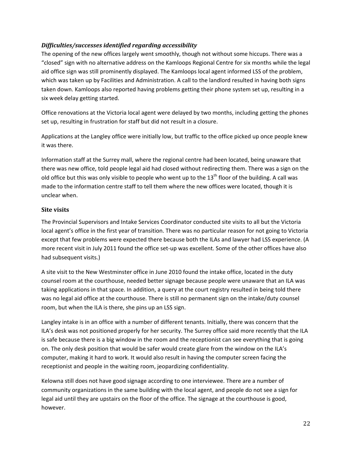### *Difficulties/successes identified regarding accessibility*

The opening of the new offices largely went smoothly, though not without some hiccups. There was a "closed" sign with no alternative address on the Kamloops Regional Centre for six months while the legal aid office sign was still prominently displayed. The Kamloops local agent informed LSS of the problem, which was taken up by Facilities and Administration. A call to the landlord resulted in having both signs taken down. Kamloops also reported having problems getting their phone system set up, resulting in a six week delay getting started.

Office renovations at the Victoria local agent were delayed by two months, including getting the phones set up, resulting in frustration for staff but did not result in a closure.

Applications at the Langley office were initially low, but traffic to the office picked up once people knew it was there.

Information staff at the Surrey mall, where the regional centre had been located, being unaware that there was new office, told people legal aid had closed without redirecting them. There was a sign on the old office but this was only visible to people who went up to the  $13<sup>th</sup>$  floor of the building. A call was made to the information centre staff to tell them where the new offices were located, though it is unclear when.

### **Site visits**

The Provincial Supervisors and Intake Services Coordinator conducted site visits to all but the Victoria local agent's office in the first year of transition. There was no particular reason for not going to Victoria except that few problems were expected there because both the ILAs and lawyer had LSS experience. (A more recent visit in July 2011 found the office set-up was excellent. Some of the other offices have also had subsequent visits.)

A site visit to the New Westminster office in June 2010 found the intake office, located in the duty counsel room at the courthouse, needed better signage because people were unaware that an ILA was taking applications in that space. In addition, a query at the court registry resulted in being told there was no legal aid office at the courthouse. There is still no permanent sign on the intake/duty counsel room, but when the ILA is there, she pins up an LSS sign.

Langley intake is in an office with a number of different tenants. Initially, there was concern that the ILA's desk was not positioned properly for her security. The Surrey office said more recently that the ILA is safe because there is a big window in the room and the receptionist can see everything that is going on. The only desk position that would be safer would create glare from the window on the ILA's computer, making it hard to work. It would also result in having the computer screen facing the receptionist and people in the waiting room, jeopardizing confidentiality.

Kelowna still does not have good signage according to one interviewee. There are a number of community organizations in the same building with the local agent, and people do not see a sign for legal aid until they are upstairs on the floor of the office. The signage at the courthouse is good, however.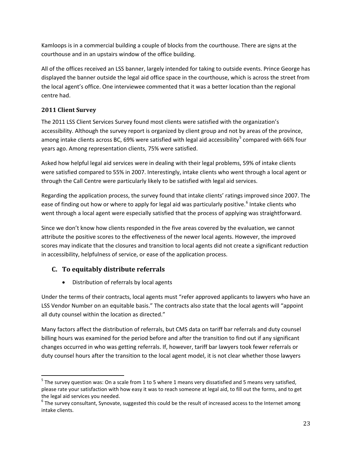Kamloops is in a commercial building a couple of blocks from the courthouse. There are signs at the courthouse and in an upstairs window of the office building.

All of the offices received an LSS banner, largely intended for taking to outside events. Prince George has displayed the banner outside the legal aid office space in the courthouse, which is across the street from the local agent's office. One interviewee commented that it was a better location than the regional centre had.

### **2011 Client Survey**

The 2011 LSS Client Services Survey found most clients were satisfied with the organization's accessibility. Although the survey report is organized by client group and not by areas of the province, among intake clients across BC, 69% were satisfied with legal aid accessibility<sup>[5](#page-17-2)</sup> compared with 66% four years ago. Among representation clients, 75% were satisfied.

Asked how helpful legal aid services were in dealing with their legal problems, 59% of intake clients were satisfied compared to 55% in 2007. Interestingly, intake clients who went through a local agent or through the Call Centre were particularly likely to be satisfied with legal aid services.

Regarding the application process, the survey found that intake clients' ratings improved since 2007. The ease of finding out how or where to apply for legal aid was particularly positive.<sup>[6](#page-23-0)</sup> Intake clients who went through a local agent were especially satisfied that the process of applying was straightforward.

Since we don't know how clients responded in the five areas covered by the evaluation, we cannot attribute the positive scores to the effectiveness of the newer local agents. However, the improved scores may indicate that the closures and transition to local agents did not create a significant reduction in accessibility, helpfulness of service, or ease of the application process.

### **C. To equitably distribute referrals**

• Distribution of referrals by local agents

Under the terms of their contracts, local agents must "refer approved applicants to lawyers who have an LSS Vendor Number on an equitable basis." The contracts also state that the local agents will "appoint all duty counsel within the location as directed."

Many factors affect the distribution of referrals, but CMS data on tariff bar referrals and duty counsel billing hours was examined for the period before and after the transition to find out if any significant changes occurred in who was getting referrals. If, however, tariff bar lawyers took fewer referrals or duty counsel hours after the transition to the local agent model, it is not clear whether those lawyers

<sup>&</sup>lt;sup>5</sup> The survey question was: On a scale from 1 to 5 where 1 means very dissatisfied and 5 means very satisfied, please rate your satisfaction with how easy it was to reach someone at legal aid, to fill out the forms, and to get

<span id="page-23-0"></span>the legal aid services you needed.<br><sup>6</sup> The survey consultant, Synovate, suggested this could be the result of increased access to the Internet among intake clients.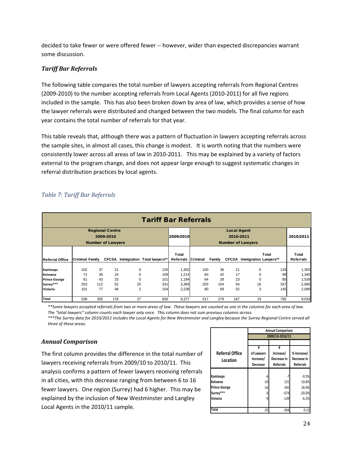decided to take fewer or were offered fewer -- however, wider than expected discrepancies warrant some discussion.

### *Tariff Bar Referrals*

The following table compares the total number of lawyers accepting referrals from Regional Centres (2009-2010) to the number accepting referrals from Local Agents (2010-2011) for all five regions included in the sample. This has also been broken down by area of law, which provides a sense of how the lawyer referrals were distributed and changed between the two models. The final column for each year contains the total number of referrals for that year.

This table reveals that, although there was a pattern of fluctuation in lawyers accepting referrals across the sample sites, in almost all cases, this change is modest. It is worth noting that the numbers were consistently lower across all areas of law in 2010-2011. This may be explained by a variety of factors external to the program change, and does not appear large enough to suggest systematic changes in referral distribution practices by local agents.

<span id="page-24-0"></span>

|  | Table 7: Tariff Bar Referrals |  |
|--|-------------------------------|--|
|  |                               |  |

| <b>Tariff Bar Referrals</b>                   |                        |                |                                                                 |                           |                                   |                             |                 |                |                                 |                             |                  |                           |
|-----------------------------------------------|------------------------|----------------|-----------------------------------------------------------------|---------------------------|-----------------------------------|-----------------------------|-----------------|----------------|---------------------------------|-----------------------------|------------------|---------------------------|
|                                               |                        |                | <b>Regional Centre</b><br>2009-2010<br><b>Number of Lawyers</b> |                           |                                   | 2009/2010                   |                 |                | <b>Local Agent</b><br>2010-2011 | <b>Number of Lawyers</b>    |                  | 2010/2011                 |
| <b>Referral Office</b>                        | <b>Criminal Family</b> |                |                                                                 |                           | CFCSA Immigration Total lawyers** | Total<br>Referrals Criminal |                 | Family         |                                 | CFCSA Immigration Lawyers** | Total            | Total<br><b>Referrals</b> |
| Kamloops<br>Kelowna                           | 102<br>71<br>61        | 37<br>36<br>43 | 21<br>24<br>33                                                  | 0<br>0                    | 135<br>109                        | 1,362<br>1,214              | 100<br>60<br>64 | 36<br>42<br>28 | 21<br>17<br>23                  | 0                           | 129<br>99        | 1,355<br>1,345            |
| <b>Prince George</b><br>Surrey***<br>Victoria | 203<br>101             | 112<br>77      | 52<br>48                                                        | 0<br>25<br>$\overline{2}$ | 101<br>331<br>154                 | 1,194<br>3,369<br>2,238     | 203<br>90       | 104<br>69      | 54<br>52                        | 0<br>16<br>3                | 85<br>337<br>145 | 1,539<br>2,695<br>2,099   |
| Total                                         | 538                    | 305            | 178                                                             | 27                        | 830                               | 9,377                       | 517             | 279            | 167                             | 19                          | 795              | 9,033                     |

*\*\*Some lawyers accepted referrals from two or more areas of law. These lawyers are counted as one in the columns for each area of law. The "total lawyers" column counts each lawyer only once. This column does not sum previous columns across.*

*\*\*\*The Surrey data for 2010/2011 includes the Local Agents for New Westminster and Langley because the Surrey Regional Centre served all three of these areas.* 

### *Annual Comparison*

The first column provides the difference in the total number of lawyers receiving referrals from 2009/10 to 2010/11. This analysis confirms a pattern of fewer lawyers receiving referrals in all cities, with this decrease ranging from between 6 to 16 fewer lawyers. One region (Surrey) had 6 higher. This may be explained by the inclusion of New Westminster and Langley Local Agents in the 2010/11 sample.

|                                    | <b>Annual Comparison</b>                 |                                                   |                                                |  |  |
|------------------------------------|------------------------------------------|---------------------------------------------------|------------------------------------------------|--|--|
|                                    |                                          | 2009/10-2010/11                                   |                                                |  |  |
|                                    |                                          |                                                   |                                                |  |  |
| <b>Referral Office</b><br>Location | #<br>of Lawyers<br>Increase/<br>Decrease | #<br>Increase/<br>Decrease in<br><b>Referrals</b> | % Increase/<br>Decrease in<br><b>Referrals</b> |  |  |
|                                    |                                          |                                                   |                                                |  |  |
| Kamloops                           | -6                                       | -7                                                | $-0.5%$                                        |  |  |
| Kelowna                            | $-10$                                    | 131                                               | 10.8%                                          |  |  |
| <b>Prince George</b>               | $-16$                                    | 345                                               | 28.9%                                          |  |  |
| Surrey***                          | 6                                        | $-674$                                            | $-20.0%$                                       |  |  |
| <b>Victoria</b>                    | -9                                       | $-139$                                            | $-6.2%$                                        |  |  |
| <b>Total</b>                       | $-35$                                    | $-344$                                            | 0.13                                           |  |  |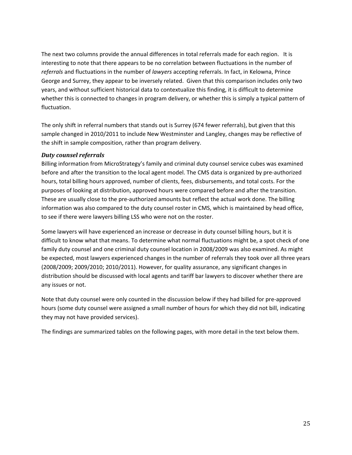The next two columns provide the annual differences in total referrals made for each region. It is interesting to note that there appears to be no correlation between fluctuations in the number of *referrals* and fluctuations in the number of *lawyers* accepting referrals. In fact, in Kelowna, Prince George and Surrey, they appear to be inversely related. Given that this comparison includes only two years, and without sufficient historical data to contextualize this finding, it is difficult to determine whether this is connected to changes in program delivery, or whether this is simply a typical pattern of fluctuation.

The only shift in referral numbers that stands out is Surrey (674 fewer referrals), but given that this sample changed in 2010/2011 to include New Westminster and Langley, changes may be reflective of the shift in sample composition, rather than program delivery.

### *Duty counsel referrals*

Billing information from MicroStrategy's family and criminal duty counsel service cubes was examined before and after the transition to the local agent model. The CMS data is organized by pre-authorized hours, total billing hours approved, number of clients, fees, disbursements, and total costs. For the purposes of looking at distribution, approved hours were compared before and after the transition. These are usually close to the pre-authorized amounts but reflect the actual work done. The billing information was also compared to the duty counsel roster in CMS, which is maintained by head office, to see if there were lawyers billing LSS who were not on the roster.

Some lawyers will have experienced an increase or decrease in duty counsel billing hours, but it is difficult to know what that means. To determine what normal fluctuations might be, a spot check of one family duty counsel and one criminal duty counsel location in 2008/2009 was also examined. As might be expected, most lawyers experienced changes in the number of referrals they took over all three years (2008/2009; 2009/2010; 2010/2011). However, for quality assurance, any significant changes in distribution should be discussed with local agents and tariff bar lawyers to discover whether there are any issues or not.

Note that duty counsel were only counted in the discussion below if they had billed for pre-approved hours (some duty counsel were assigned a small number of hours for which they did not bill, indicating they may not have provided services).

The findings are summarized tables on the following pages, with more detail in the text below them.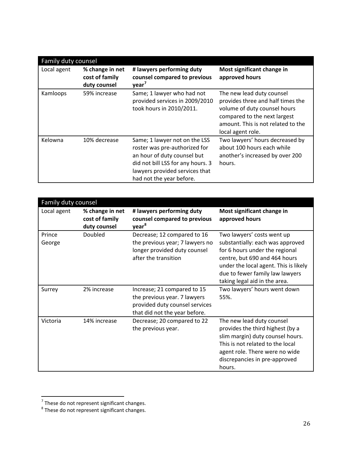|             | Family duty counsel                               |                                                                                                                                                                                                  |                                                                                                                                                                                           |  |  |  |
|-------------|---------------------------------------------------|--------------------------------------------------------------------------------------------------------------------------------------------------------------------------------------------------|-------------------------------------------------------------------------------------------------------------------------------------------------------------------------------------------|--|--|--|
| Local agent | % change in net<br>cost of family<br>duty counsel | # lawyers performing duty<br>counsel compared to previous<br>year <sup>7</sup>                                                                                                                   | Most significant change in<br>approved hours                                                                                                                                              |  |  |  |
| Kamloops    | 59% increase                                      | Same; 1 lawyer who had not<br>provided services in 2009/2010<br>took hours in 2010/2011.                                                                                                         | The new lead duty counsel<br>provides three and half times the<br>volume of duty counsel hours<br>compared to the next largest<br>amount. This is not related to the<br>local agent role. |  |  |  |
| Kelowna     | 10% decrease                                      | Same; 1 lawyer not on the LSS<br>roster was pre-authorized for<br>an hour of duty counsel but<br>did not bill LSS for any hours. 3<br>lawyers provided services that<br>had not the year before. | Two lawyers' hours decreased by<br>about 100 hours each while<br>another's increased by over 200<br>hours.                                                                                |  |  |  |

|                  | Family duty counsel                               |                                                                                                                                |                                                                                                                                                                                                                                                |  |  |  |
|------------------|---------------------------------------------------|--------------------------------------------------------------------------------------------------------------------------------|------------------------------------------------------------------------------------------------------------------------------------------------------------------------------------------------------------------------------------------------|--|--|--|
| Local agent      | % change in net<br>cost of family<br>duty counsel | # lawyers performing duty<br>counsel compared to previous<br>year <sup>8</sup>                                                 | Most significant change in<br>approved hours                                                                                                                                                                                                   |  |  |  |
| Prince<br>George | Doubled                                           | Decrease; 12 compared to 16<br>the previous year; 7 lawyers no<br>longer provided duty counsel<br>after the transition         | Two lawyers' costs went up<br>substantially: each was approved<br>for 6 hours under the regional<br>centre, but 690 and 464 hours<br>under the local agent. This is likely<br>due to fewer family law lawyers<br>taking legal aid in the area. |  |  |  |
| Surrey           | 2% increase                                       | Increase; 21 compared to 15<br>the previous year. 7 lawyers<br>provided duty counsel services<br>that did not the year before. | Two lawyers' hours went down<br>55%.                                                                                                                                                                                                           |  |  |  |
| Victoria         | 14% increase                                      | Decrease; 20 compared to 22<br>the previous year.                                                                              | The new lead duty counsel<br>provides the third highest (by a<br>slim margin) duty counsel hours.<br>This is not related to the local<br>agent role. There were no wide<br>discrepancies in pre-approved<br>hours.                             |  |  |  |

 $\frac{1}{7}$ These do not represent significant changes.

<span id="page-26-0"></span> $^8$  These do not represent significant changes.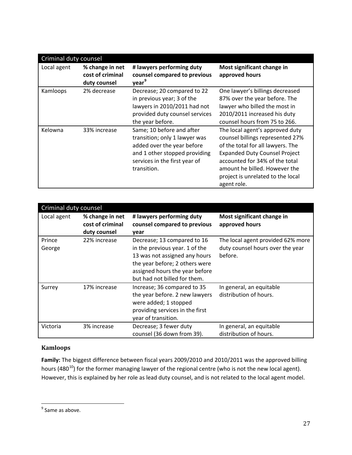| Criminal duty counsel |                                                     |                                                                                                                                                                           |                                                                                                                                                                                                                                                                         |  |
|-----------------------|-----------------------------------------------------|---------------------------------------------------------------------------------------------------------------------------------------------------------------------------|-------------------------------------------------------------------------------------------------------------------------------------------------------------------------------------------------------------------------------------------------------------------------|--|
| Local agent           | % change in net<br>cost of criminal<br>duty counsel | # lawyers performing duty<br>counsel compared to previous<br>year <sup>9</sup>                                                                                            | Most significant change in<br>approved hours                                                                                                                                                                                                                            |  |
| Kamloops              | 2% decrease                                         | Decrease; 20 compared to 22<br>in previous year; 3 of the<br>lawyers in 2010/2011 had not<br>provided duty counsel services<br>the year before.                           | One lawyer's billings decreased<br>87% over the year before. The<br>lawyer who billed the most in<br>2010/2011 increased his duty<br>counsel hours from 75 to 266.                                                                                                      |  |
| Kelowna               | 33% increase                                        | Same; 10 before and after<br>transition; only 1 lawyer was<br>added over the year before<br>and 1 other stopped providing<br>services in the first year of<br>transition. | The local agent's approved duty<br>counsel billings represented 27%<br>of the total for all lawyers. The<br><b>Expanded Duty Counsel Project</b><br>accounted for 34% of the total<br>amount he billed. However the<br>project is unrelated to the local<br>agent role. |  |

| Criminal duty counsel |                                                     |                                                                                                                                                                                                    |                                                                                  |
|-----------------------|-----------------------------------------------------|----------------------------------------------------------------------------------------------------------------------------------------------------------------------------------------------------|----------------------------------------------------------------------------------|
| Local agent           | % change in net<br>cost of criminal<br>duty counsel | # lawyers performing duty<br>counsel compared to previous<br>year                                                                                                                                  | Most significant change in<br>approved hours                                     |
| Prince<br>George      | 22% increase                                        | Decrease; 13 compared to 16<br>in the previous year. 1 of the<br>13 was not assigned any hours<br>the year before; 2 others were<br>assigned hours the year before<br>but had not billed for them. | The local agent provided 62% more<br>duty counsel hours over the year<br>before. |
| Surrey                | 17% increase                                        | Increase; 36 compared to 35<br>the year before. 2 new lawyers<br>were added; 1 stopped<br>providing services in the first<br>year of transition.                                                   | In general, an equitable<br>distribution of hours.                               |
| Victoria              | 3% increase                                         | Decrease; 3 fewer duty<br>counsel (36 down from 39).                                                                                                                                               | In general, an equitable<br>distribution of hours.                               |

### **Kamloops**

**Family:** The biggest difference between fiscal years 2009/2010 and 2010/2011 was the approved billing hours (480<sup>10</sup>) for the former managing lawyer of the regional centre (who is not the new local agent). However, this is explained by her role as lead duty counsel, and is not related to the local agent model.

<span id="page-27-1"></span><span id="page-27-0"></span><sup>&</sup>lt;sup>9</sup> Same as above.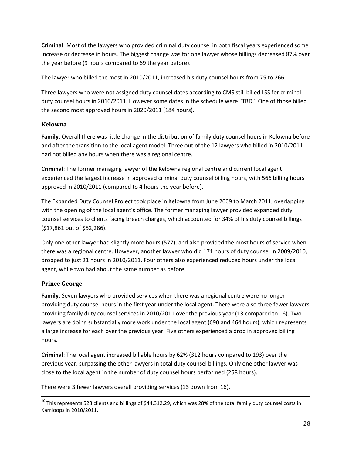**Criminal**: Most of the lawyers who provided criminal duty counsel in both fiscal years experienced some increase or decrease in hours. The biggest change was for one lawyer whose billings decreased 87% over the year before (9 hours compared to 69 the year before).

The lawyer who billed the most in 2010/2011, increased his duty counsel hours from 75 to 266.

Three lawyers who were not assigned duty counsel dates according to CMS still billed LSS for criminal duty counsel hours in 2010/2011. However some dates in the schedule were "TBD." One of those billed the second most approved hours in 2020/2011 (184 hours).

### **Kelowna**

**Family**: Overall there was little change in the distribution of family duty counsel hours in Kelowna before and after the transition to the local agent model. Three out of the 12 lawyers who billed in 2010/2011 had not billed any hours when there was a regional centre.

**Criminal**: The former managing lawyer of the Kelowna regional centre and current local agent experienced the largest increase in approved criminal duty counsel billing hours, with 566 billing hours approved in 2010/2011 (compared to 4 hours the year before).

The Expanded Duty Counsel Project took place in Kelowna from June 2009 to March 2011, overlapping with the opening of the local agent's office. The former managing lawyer provided expanded duty counsel services to clients facing breach charges, which accounted for 34% of his duty counsel billings (\$17,861 out of \$52,286).

Only one other lawyer had slightly more hours (577), and also provided the most hours of service when there was a regional centre. However, another lawyer who did 171 hours of duty counsel in 2009/2010, dropped to just 21 hours in 2010/2011. Four others also experienced reduced hours under the local agent, while two had about the same number as before.

### **Prince George**

**Family**: Seven lawyers who provided services when there was a regional centre were no longer providing duty counsel hours in the first year under the local agent. There were also three fewer lawyers providing family duty counsel services in 2010/2011 over the previous year (13 compared to 16). Two lawyers are doing substantially more work under the local agent (690 and 464 hours), which represents a large increase for each over the previous year. Five others experienced a drop in approved billing hours.

**Criminal**: The local agent increased billable hours by 62% (312 hours compared to 193) over the previous year, surpassing the other lawyers in total duty counsel billings. Only one other lawyer was close to the local agent in the number of duty counsel hours performed (258 hours).

There were 3 fewer lawyers overall providing services (13 down from 16).

 $^{10}$  This represents 528 clients and billings of \$44,312.29, which was 28% of the total family duty counsel costs in Kamloops in 2010/2011.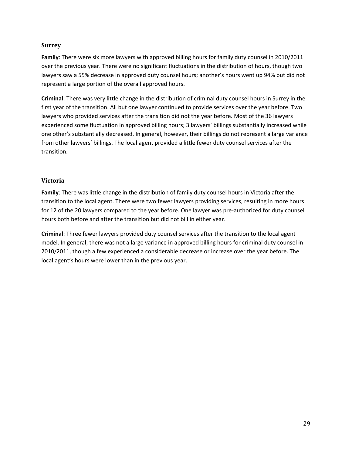#### **Surrey**

**Family**: There were six more lawyers with approved billing hours for family duty counsel in 2010/2011 over the previous year. There were no significant fluctuations in the distribution of hours, though two lawyers saw a 55% decrease in approved duty counsel hours; another's hours went up 94% but did not represent a large portion of the overall approved hours.

**Criminal**: There was very little change in the distribution of criminal duty counsel hours in Surrey in the first year of the transition. All but one lawyer continued to provide services over the year before. Two lawyers who provided services after the transition did not the year before. Most of the 36 lawyers experienced some fluctuation in approved billing hours; 3 lawyers' billings substantially increased while one other's substantially decreased. In general, however, their billings do not represent a large variance from other lawyers' billings. The local agent provided a little fewer duty counsel services after the transition.

### **Victoria**

**Family**: There was little change in the distribution of family duty counsel hours in Victoria after the transition to the local agent. There were two fewer lawyers providing services, resulting in more hours for 12 of the 20 lawyers compared to the year before. One lawyer was pre-authorized for duty counsel hours both before and after the transition but did not bill in either year.

**Criminal**: Three fewer lawyers provided duty counsel services after the transition to the local agent model. In general, there was not a large variance in approved billing hours for criminal duty counsel in 2010/2011, though a few experienced a considerable decrease or increase over the year before. The local agent's hours were lower than in the previous year.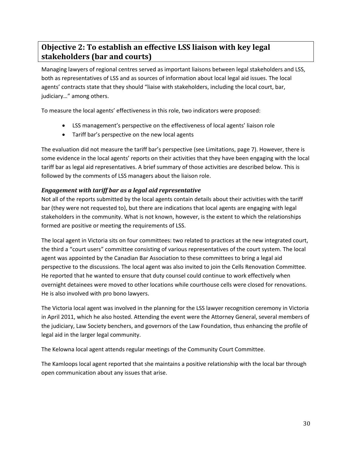### <span id="page-30-0"></span>**Objective 2: To establish an effective LSS liaison with key legal stakeholders (bar and courts)**

Managing lawyers of regional centres served as important liaisons between legal stakeholders and LSS, both as representatives of LSS and as sources of information about local legal aid issues. The local agents' contracts state that they should "liaise with stakeholders, including the local court, bar, judiciary…" among others.

To measure the local agents' effectiveness in this role, two indicators were proposed:

- LSS management's perspective on the effectiveness of local agents' liaison role
- Tariff bar's perspective on the new local agents

The evaluation did not measure the tariff bar's perspective (see Limitations, page 7). However, there is some evidence in the local agents' reports on their activities that they have been engaging with the local tariff bar as legal aid representatives. A brief summary of those activities are described below. This is followed by the comments of LSS managers about the liaison role.

### *Engagement with tariff bar as a legal aid representative*

Not all of the reports submitted by the local agents contain details about their activities with the tariff bar (they were not requested to), but there are indications that local agents are engaging with legal stakeholders in the community. What is not known, however, is the extent to which the relationships formed are positive or meeting the requirements of LSS.

The local agent in Victoria sits on four committees: two related to practices at the new integrated court, the third a "court users" committee consisting of various representatives of the court system. The local agent was appointed by the Canadian Bar Association to these committees to bring a legal aid perspective to the discussions. The local agent was also invited to join the Cells Renovation Committee. He reported that he wanted to ensure that duty counsel could continue to work effectively when overnight detainees were moved to other locations while courthouse cells were closed for renovations. He is also involved with pro bono lawyers.

The Victoria local agent was involved in the planning for the LSS lawyer recognition ceremony in Victoria in April 2011, which he also hosted. Attending the event were the Attorney General, several members of the judiciary, Law Society benchers, and governors of the Law Foundation, thus enhancing the profile of legal aid in the larger legal community.

The Kelowna local agent attends regular meetings of the Community Court Committee.

The Kamloops local agent reported that she maintains a positive relationship with the local bar through open communication about any issues that arise.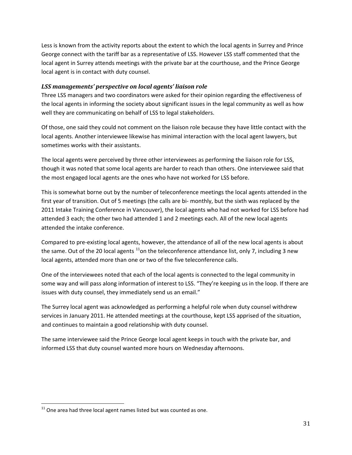Less is known from the activity reports about the extent to which the local agents in Surrey and Prince George connect with the tariff bar as a representative of LSS. However LSS staff commented that the local agent in Surrey attends meetings with the private bar at the courthouse, and the Prince George local agent is in contact with duty counsel.

### *LSS managements' perspective on local agents' liaison role*

Three LSS managers and two coordinators were asked for their opinion regarding the effectiveness of the local agents in informing the society about significant issues in the legal community as well as how well they are communicating on behalf of LSS to legal stakeholders.

Of those, one said they could not comment on the liaison role because they have little contact with the local agents. Another interviewee likewise has minimal interaction with the local agent lawyers, but sometimes works with their assistants.

The local agents were perceived by three other interviewees as performing the liaison role for LSS, though it was noted that some local agents are harder to reach than others. One interviewee said that the most engaged local agents are the ones who have not worked for LSS before.

This is somewhat borne out by the number of teleconference meetings the local agents attended in the first year of transition. Out of 5 meetings (the calls are bi- monthly, but the sixth was replaced by the 2011 Intake Training Conference in Vancouver), the local agents who had not worked for LSS before had attended 3 each; the other two had attended 1 and 2 meetings each. All of the new local agents attended the intake conference.

Compared to pre-existing local agents, however, the attendance of all of the new local agents is about the same. Out of the 20 local agents  $11$ on the teleconference attendance list, only 7, including 3 new local agents, attended more than one or two of the five teleconference calls.

One of the interviewees noted that each of the local agents is connected to the legal community in some way and will pass along information of interest to LSS. "They're keeping us in the loop. If there are issues with duty counsel, they immediately send us an email."

The Surrey local agent was acknowledged as performing a helpful role when duty counsel withdrew services in January 2011. He attended meetings at the courthouse, kept LSS apprised of the situation, and continues to maintain a good relationship with duty counsel.

The same interviewee said the Prince George local agent keeps in touch with the private bar, and informed LSS that duty counsel wanted more hours on Wednesday afternoons.

<span id="page-31-0"></span> $11$  One area had three local agent names listed but was counted as one.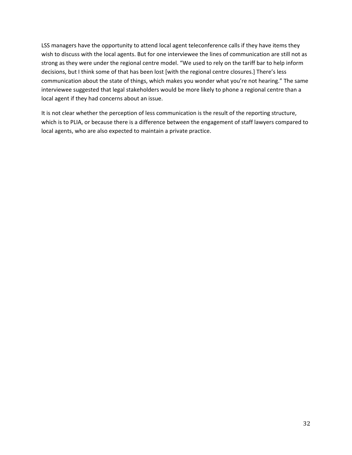LSS managers have the opportunity to attend local agent teleconference calls if they have items they wish to discuss with the local agents. But for one interviewee the lines of communication are still not as strong as they were under the regional centre model. "We used to rely on the tariff bar to help inform decisions, but I think some of that has been lost [with the regional centre closures.] There's less communication about the state of things, which makes you wonder what you're not hearing." The same interviewee suggested that legal stakeholders would be more likely to phone a regional centre than a local agent if they had concerns about an issue.

It is not clear whether the perception of less communication is the result of the reporting structure, which is to PLIA, or because there is a difference between the engagement of staff lawyers compared to local agents, who are also expected to maintain a private practice.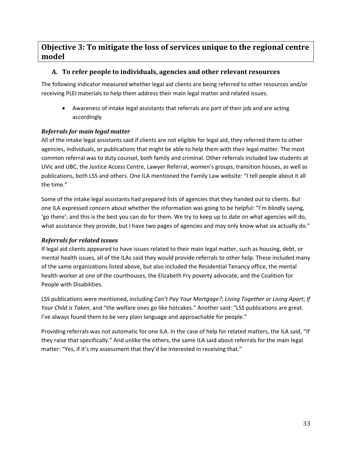### <span id="page-33-0"></span>**Objective 3: To mitigate the loss of services unique to the regional centre model**

### **A. To refer people to individuals, agencies and other relevant resources**

The following indicator measured whether legal aid clients are being referred to other resources and/or receiving PLEI materials to help them address their main legal matter and related issues.

• Awareness of intake legal assistants that referrals are part of their job and are acting accordingly

### *Referrals for main legal matter*

All of the intake legal assistants said if clients are not eligible for legal aid, they referred them to other agencies, individuals, or publications that might be able to help them with their legal matter. The most common referral was to duty counsel, both family and criminal. Other referrals included law students at UVic and UBC, the Justice Access Centre, Lawyer Referral, women's groups, transition houses, as well as publications, both LSS and others. One ILA mentioned the Family Law website: "I tell people about it all the time."

Some of the intake legal assistants had prepared lists of agencies that they handed out to clients. But one ILA expressed concern about whether the information was going to be helpful: "I'm blindly saying, 'go there'; and this is the best you can do for them. We try to keep up to date on what agencies will do, what assistance they provide, but I have two pages of agencies and may only know what six actually do."

### *Referrals for related issues*

If legal aid clients appeared to have issues related to their main legal matter, such as housing, debt, or mental health issues, all of the ILAs said they would provide referrals to other help. These included many of the same organizations listed above, but also included the Residential Tenancy office, the mental health worker at one of the courthouses, the Elizabeth Fry poverty advocate, and the Coalition for People with Disabilities.

LSS publications were mentioned, including *Can't Pay Your Mortgage?*; *Living Together or Living Apart*; *If Your Child is Taken*, and "the welfare ones go like hotcakes." Another said: "LSS publications are great. I've always found them to be very plain language and approachable for people."

Providing referrals was not automatic for one ILA. In the case of help for related matters, the ILA said, "If they raise that specifically." And unlike the others, the same ILA said about referrals for the main legal matter: "Yes, if it's my assessment that they'd be interested in receiving that."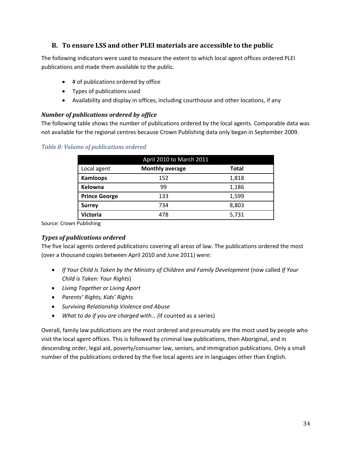### **B. To ensure LSS and other PLEI materials are accessible to the public**

The following indicators were used to measure the extent to which local agent offices ordered PLEI publications and made them available to the public.

- # of publications ordered by office
- Types of publications used
- Availability and display in offices, including courthouse and other locations, if any

### *Number of publications ordered by office*

The following table shows the number of publications ordered by the local agents. Comparable data was not available for the regional centres because Crown Publishing data only began in September 2009.

| April 2010 to March 2011 |                        |              |
|--------------------------|------------------------|--------------|
| Local agent              | <b>Monthly average</b> | <b>Total</b> |
| <b>Kamloops</b>          | 152                    | 1,818        |
| Kelowna                  | 99                     | 1,186        |
| <b>Prince George</b>     | 133                    | 1,599        |
| <b>Surrey</b>            | 734                    | 8,803        |
| <b>Victoria</b>          | 478                    | 5,731        |

### <span id="page-34-0"></span>*Table 8: Volume of publications ordered*

Source: Crown Publishing

### *Types of publications ordered*

The five local agents ordered publications covering all areas of law. The publications ordered the most (over a thousand copies between April 2010 and June 2011) were:

- *If Your Child Is Taken by the Ministry of Children and Family Development* (now called *If Your Child is Taken: Your Rights*)
- *Living Together or Living Apart*
- *Parents' Rights, Kids' Rights*
- *Surviving Relationship Violence and Abuse*
- *What to do if you are charged with… (*if counted as a series)

Overall, family law publications are the most ordered and presumably are the most used by people who visit the local agent offices. This is followed by criminal law publications, then Aboriginal, and in descending order, legal aid, poverty/consumer law, seniors, and immigration publications. Only a small number of the publications ordered by the five local agents are in languages other than English.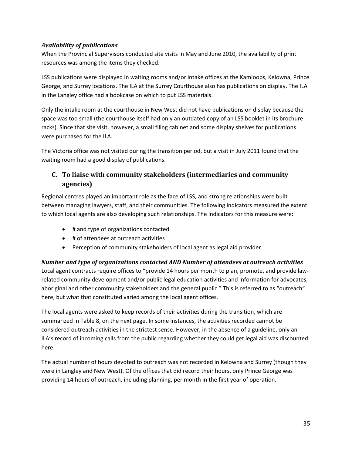### *Availability of publications*

When the Provincial Supervisors conducted site visits in May and June 2010, the availability of print resources was among the items they checked.

LSS publications were displayed in waiting rooms and/or intake offices at the Kamloops, Kelowna, Prince George, and Surrey locations. The ILA at the Surrey Courthouse also has publications on display. The ILA in the Langley office had a bookcase on which to put LSS materials.

Only the intake room at the courthouse in New West did not have publications on display because the space was too small (the courthouse itself had only an outdated copy of an LSS booklet in its brochure racks). Since that site visit, however, a small filing cabinet and some display shelves for publications were purchased for the ILA.

The Victoria office was not visited during the transition period, but a visit in July 2011 found that the waiting room had a good display of publications.

### **C. To liaise with community stakeholders (intermediaries and community agencies)**

Regional centres played an important role as the face of LSS, and strong relationships were built between managing lawyers, staff, and their communities. The following indicators measured the extent to which local agents are also developing such relationships. The indicators for this measure were:

- # and type of organizations contacted
- # of attendees at outreach activities
- Perception of community stakeholders of local agent as legal aid provider

*Number and type of organizations contacted AND Number of attendees at outreach activities* Local agent contracts require offices to "provide 14 hours per month to plan, promote, and provide lawrelated community development and/or public legal education activities and information for advocates, aboriginal and other community stakeholders and the general public." This is referred to as "outreach" here, but what that constituted varied among the local agent offices.

The local agents were asked to keep records of their activities during the transition, which are summarized in Table 8, on the next page. In some instances, the activities recorded cannot be considered outreach activities in the strictest sense. However, in the absence of a guideline, only an ILA's record of incoming calls from the public regarding whether they could get legal aid was discounted here.

The actual number of hours devoted to outreach was not recorded in Kelowna and Surrey (though they were in Langley and New West). Of the offices that did record their hours, only Prince George was providing 14 hours of outreach, including planning, per month in the first year of operation.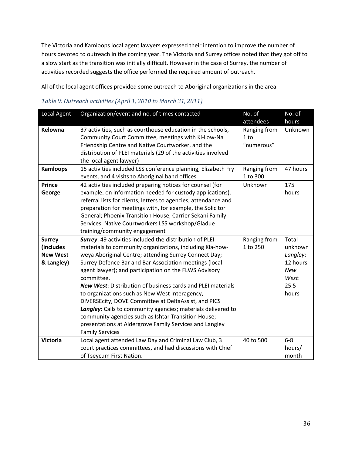The Victoria and Kamloops local agent lawyers expressed their intention to improve the number of hours devoted to outreach in the coming year. The Victoria and Surrey offices noted that they got off to a slow start as the transition was initially difficult. However in the case of Surrey, the number of activities recorded suggests the office performed the required amount of outreach.

All of the local agent offices provided some outreach to Aboriginal organizations in the area.

| Local Agent                                                 | Organization/event and no. of times contacted                                                                                                                                                                                                                                                                                                                                                                                                                                                                                                                                                                                                                                                             | No. of<br>attendees                | No. of<br>hours                                                                  |
|-------------------------------------------------------------|-----------------------------------------------------------------------------------------------------------------------------------------------------------------------------------------------------------------------------------------------------------------------------------------------------------------------------------------------------------------------------------------------------------------------------------------------------------------------------------------------------------------------------------------------------------------------------------------------------------------------------------------------------------------------------------------------------------|------------------------------------|----------------------------------------------------------------------------------|
| <b>Kelowna</b>                                              | 37 activities, such as courthouse education in the schools,<br>Community Court Committee, meetings with Ki-Low-Na<br>Friendship Centre and Native Courtworker, and the<br>distribution of PLEI materials (29 of the activities involved<br>the local agent lawyer)                                                                                                                                                                                                                                                                                                                                                                                                                                        | Ranging from<br>1 to<br>"numerous" | Unknown                                                                          |
| <b>Kamloops</b>                                             | 15 activities included LSS conference planning, Elizabeth Fry<br>events, and 4 visits to Aboriginal band offices.                                                                                                                                                                                                                                                                                                                                                                                                                                                                                                                                                                                         | Ranging from<br>1 to 300           | 47 hours                                                                         |
| <b>Prince</b><br>George                                     | 42 activities included preparing notices for counsel (for<br>example, on information needed for custody applications),<br>referral lists for clients, letters to agencies, attendance and<br>preparation for meetings with, for example, the Solicitor<br>General; Phoenix Transition House, Carrier Sekani Family<br>Services, Native Courtworkers LSS workshop/Gladue<br>training/community engagement                                                                                                                                                                                                                                                                                                  | Unknown                            | 175<br>hours                                                                     |
| <b>Surrey</b><br>(includes<br><b>New West</b><br>& Langley) | Surrey: 49 activities included the distribution of PLEI<br>materials to community organizations, including Kla-how-<br>weya Aboriginal Centre; attending Surrey Connect Day;<br>Surrey Defence Bar and Bar Association meetings (local<br>agent lawyer); and participation on the FLWS Advisory<br>committee.<br><b>New West:</b> Distribution of business cards and PLEI materials<br>to organizations such as New West Interagency,<br>DIVERSEcity, DOVE Committee at DeltaAssist, and PICS<br>Langley: Calls to community agencies; materials delivered to<br>community agencies such as Ishtar Transition House;<br>presentations at Aldergrove Family Services and Langley<br><b>Family Services</b> | Ranging from<br>1 to 250           | Total<br>unknown<br>Langley:<br>12 hours<br><b>New</b><br>West:<br>25.5<br>hours |
| <b>Victoria</b>                                             | Local agent attended Law Day and Criminal Law Club, 3<br>court practices committees, and had discussions with Chief<br>of Tseycum First Nation.                                                                                                                                                                                                                                                                                                                                                                                                                                                                                                                                                           | 40 to 500                          | $6-8$<br>hours/<br>month                                                         |

### <span id="page-36-0"></span>*Table 9: Outreach activities (April 1, 2010 to March 31, 2011)*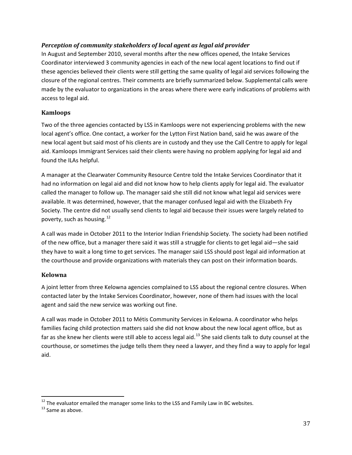### *Perception of community stakeholders of local agent as legal aid provider*

In August and September 2010, several months after the new offices opened, the Intake Services Coordinator interviewed 3 community agencies in each of the new local agent locations to find out if these agencies believed their clients were still getting the same quality of legal aid services following the closure of the regional centres. Their comments are briefly summarized below. Supplemental calls were made by the evaluator to organizations in the areas where there were early indications of problems with access to legal aid.

#### **Kamloops**

Two of the three agencies contacted by LSS in Kamloops were not experiencing problems with the new local agent's office. One contact, a worker for the Lytton First Nation band, said he was aware of the new local agent but said most of his clients are in custody and they use the Call Centre to apply for legal aid. Kamloops Immigrant Services said their clients were having no problem applying for legal aid and found the ILAs helpful.

A manager at the Clearwater Community Resource Centre told the Intake Services Coordinator that it had no information on legal aid and did not know how to help clients apply for legal aid. The evaluator called the manager to follow up. The manager said she still did not know what legal aid services were available. It was determined, however, that the manager confused legal aid with the Elizabeth Fry Society. The centre did not usually send clients to legal aid because their issues were largely related to poverty, such as housing.  $12$ 

A call was made in October 2011 to the Interior Indian Friendship Society. The society had been notified of the new office, but a manager there said it was still a struggle for clients to get legal aid—she said they have to wait a long time to get services. The manager said LSS should post legal aid information at the courthouse and provide organizations with materials they can post on their information boards.

### **Kelowna**

A joint letter from three Kelowna agencies complained to LSS about the regional centre closures. When contacted later by the Intake Services Coordinator, however, none of them had issues with the local agent and said the new service was working out fine.

A call was made in October 2011 to Métis Community Services in Kelowna. A coordinator who helps families facing child protection matters said she did not know about the new local agent office, but as far as she knew her clients were still able to access legal aid.<sup>[13](#page-37-0)</sup> She said clients talk to duty counsel at the courthouse, or sometimes the judge tells them they need a lawyer, and they find a way to apply for legal aid.

<sup>&</sup>lt;sup>12</sup> The evaluator emailed the manager some links to the LSS and Family Law in BC websites.<br><sup>13</sup> Same as above.

<span id="page-37-0"></span>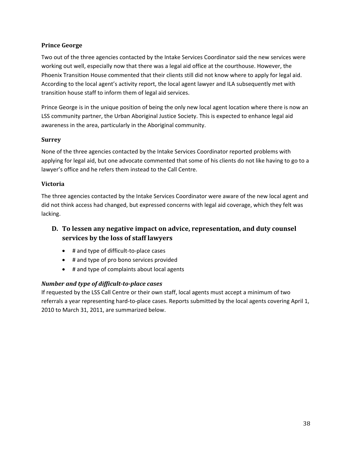### **Prince George**

Two out of the three agencies contacted by the Intake Services Coordinator said the new services were working out well, especially now that there was a legal aid office at the courthouse. However, the Phoenix Transition House commented that their clients still did not know where to apply for legal aid. According to the local agent's activity report, the local agent lawyer and ILA subsequently met with transition house staff to inform them of legal aid services.

Prince George is in the unique position of being the only new local agent location where there is now an LSS community partner, the Urban Aboriginal Justice Society. This is expected to enhance legal aid awareness in the area, particularly in the Aboriginal community.

### **Surrey**

None of the three agencies contacted by the Intake Services Coordinator reported problems with applying for legal aid, but one advocate commented that some of his clients do not like having to go to a lawyer's office and he refers them instead to the Call Centre.

### **Victoria**

The three agencies contacted by the Intake Services Coordinator were aware of the new local agent and did not think access had changed, but expressed concerns with legal aid coverage, which they felt was lacking.

### **D. To lessen any negative impact on advice, representation, and duty counsel services by the loss of staff lawyers**

- # and type of difficult-to-place cases
- # and type of pro bono services provided
- # and type of complaints about local agents

### *Number and type of difficult-to-place cases*

If requested by the LSS Call Centre or their own staff, local agents must accept a minimum of two referrals a year representing hard-to-place cases. Reports submitted by the local agents covering April 1, 2010 to March 31, 2011, are summarized below.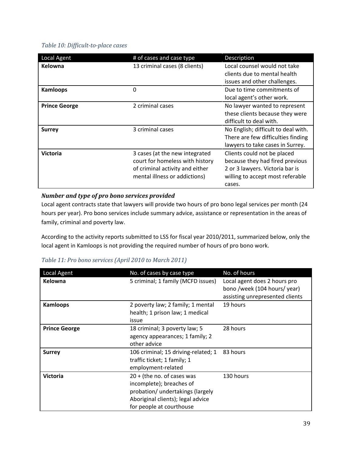### <span id="page-39-0"></span>*Table 10: Difficult-to-place cases*

| <b>Local Agent</b>   | # of cases and case type                                                                                                              | Description                                                                                                                                     |
|----------------------|---------------------------------------------------------------------------------------------------------------------------------------|-------------------------------------------------------------------------------------------------------------------------------------------------|
| Kelowna              | 13 criminal cases (8 clients)                                                                                                         | Local counsel would not take<br>clients due to mental health<br>issues and other challenges.                                                    |
| <b>Kamloops</b>      | 0                                                                                                                                     | Due to time commitments of<br>local agent's other work.                                                                                         |
| <b>Prince George</b> | 2 criminal cases                                                                                                                      | No lawyer wanted to represent<br>these clients because they were<br>difficult to deal with.                                                     |
| <b>Surrey</b>        | 3 criminal cases                                                                                                                      | No English; difficult to deal with.<br>There are few difficulties finding<br>lawyers to take cases in Surrey.                                   |
| <b>Victoria</b>      | 3 cases (at the new integrated<br>court for homeless with history<br>of criminal activity and either<br>mental illness or addictions) | Clients could not be placed<br>because they had fired previous<br>2 or 3 lawyers. Victoria bar is<br>willing to accept most referable<br>cases. |

### *Number and type of pro bono services provided*

Local agent contracts state that lawyers will provide two hours of pro bono legal services per month (24 hours per year). Pro bono services include summary advice, assistance or representation in the areas of family, criminal and poverty law.

According to the activity reports submitted to LSS for fiscal year 2010/2011, summarized below, only the local agent in Kamloops is not providing the required number of hours of pro bono work.

### <span id="page-39-1"></span>*Table 11: Pro bono services (April 2010 to March 2011)*

| <b>Local Agent</b>   | No. of cases by case type                                                                                                                                     | No. of hours                                                                                    |
|----------------------|---------------------------------------------------------------------------------------------------------------------------------------------------------------|-------------------------------------------------------------------------------------------------|
| Kelowna              | 5 criminal; 1 family (MCFD issues)                                                                                                                            | Local agent does 2 hours pro<br>bono /week (104 hours/ year)<br>assisting unrepresented clients |
| <b>Kamloops</b>      | 2 poverty law; 2 family; 1 mental<br>health; 1 prison law; 1 medical<br>issue                                                                                 | 19 hours                                                                                        |
| <b>Prince George</b> | 18 criminal; 3 poverty law; 5<br>agency appearances; 1 family; 2<br>other advice                                                                              | 28 hours                                                                                        |
| <b>Surrey</b>        | 106 criminal; 15 driving-related; 1<br>traffic ticket; 1 family; 1<br>employment-related                                                                      | 83 hours                                                                                        |
| <b>Victoria</b>      | $20 +$ (the no. of cases was<br>incomplete); breaches of<br>probation/ undertakings (largely<br>Aboriginal clients); legal advice<br>for people at courthouse | 130 hours                                                                                       |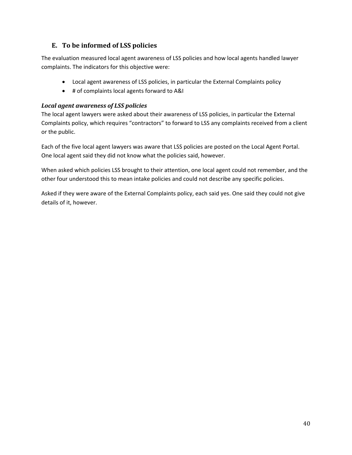### **E. To be informed of LSS policies**

The evaluation measured local agent awareness of LSS policies and how local agents handled lawyer complaints. The indicators for this objective were:

- Local agent awareness of LSS policies, in particular the External Complaints policy
- # of complaints local agents forward to A&I

### *Local agent awareness of LSS policies*

The local agent lawyers were asked about their awareness of LSS policies, in particular the External Complaints policy, which requires "contractors" to forward to LSS any complaints received from a client or the public.

Each of the five local agent lawyers was aware that LSS policies are posted on the Local Agent Portal. One local agent said they did not know what the policies said, however.

When asked which policies LSS brought to their attention, one local agent could not remember, and the other four understood this to mean intake policies and could not describe any specific policies.

Asked if they were aware of the External Complaints policy, each said yes. One said they could not give details of it, however.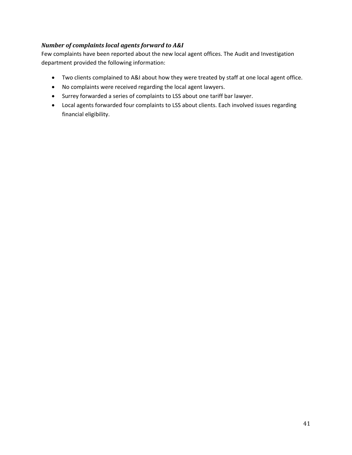### *Number of complaints local agents forward to A&I*

Few complaints have been reported about the new local agent offices. The Audit and Investigation department provided the following information:

- Two clients complained to A&I about how they were treated by staff at one local agent office.
- No complaints were received regarding the local agent lawyers.
- Surrey forwarded a series of complaints to LSS about one tariff bar lawyer.
- Local agents forwarded four complaints to LSS about clients. Each involved issues regarding financial eligibility.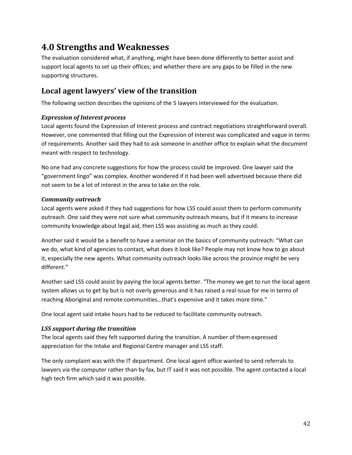# <span id="page-42-0"></span>**4.0 Strengths and Weaknesses**

The evaluation considered what, if anything, might have been done differently to better assist and support local agents to set up their offices; and whether there are any gaps to be filled in the new supporting structures.

### <span id="page-42-1"></span>**Local agent lawyers' view of the transition**

The following section describes the opinions of the 5 lawyers interviewed for the evaluation.

### *Expression of Interest process*

Local agents found the Expression of Interest process and contract negotiations straightforward overall. However, one commented that filling out the Expression of Interest was complicated and vague in terms of requirements. Another said they had to ask someone in another office to explain what the document meant with respect to technology.

No one had any concrete suggestions for how the process could be improved. One lawyer said the "government lingo" was complex. Another wondered if it had been well advertised because there did not seem to be a lot of interest in the area to take on the role.

### *Community outreach*

Local agents were asked if they had suggestions for how LSS could assist them to perform community outreach. One said they were not sure what community outreach means, but if it means to increase community knowledge about legal aid, then LSS was assisting as much as they could.

Another said it would be a benefit to have a seminar on the basics of community outreach: "What can we do, what kind of agencies to contact, what does it look like? People may not know how to go about it, especially the new agents. What community outreach looks like across the province might be very different."

Another said LSS could assist by paying the local agents better. "The money we get to run the local agent system allows us to get by but is not overly generous and it has raised a real issue for me in terms of reaching Aboriginal and remote communities…that's expensive and it takes more time."

One local agent said intake hours had to be reduced to facilitate community outreach.

### *LSS support during the transition*

The local agents said they felt supported during the transition. A number of them expressed appreciation for the Intake and Regional Centre manager and LSS staff.

The only complaint was with the IT department. One local agent office wanted to send referrals to lawyers via the computer rather than by fax, but IT said it was not possible. The agent contacted a local high tech firm which said it was possible.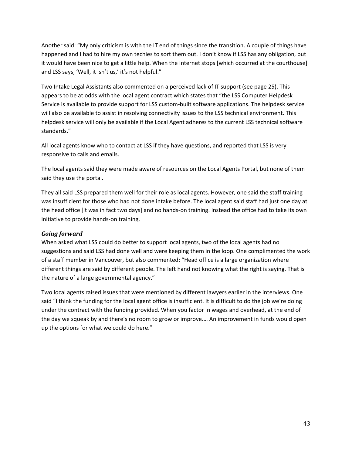Another said: "My only criticism is with the IT end of things since the transition. A couple of things have happened and I had to hire my own techies to sort them out. I don't know if LSS has any obligation, but it would have been nice to get a little help. When the Internet stops [which occurred at the courthouse] and LSS says, 'Well, it isn't us,' it's not helpful."

Two Intake Legal Assistants also commented on a perceived lack of IT support (see page 25). This appears to be at odds with the local agent contract which states that "the LSS Computer Helpdesk Service is available to provide support for LSS custom-built software applications. The helpdesk service will also be available to assist in resolving connectivity issues to the LSS technical environment. This helpdesk service will only be available if the Local Agent adheres to the current LSS technical software standards."

All local agents know who to contact at LSS if they have questions, and reported that LSS is very responsive to calls and emails.

The local agents said they were made aware of resources on the Local Agents Portal, but none of them said they use the portal.

They all said LSS prepared them well for their role as local agents. However, one said the staff training was insufficient for those who had not done intake before. The local agent said staff had just one day at the head office [it was in fact two days] and no hands-on training. Instead the office had to take its own initiative to provide hands-on training.

### *Going forward*

When asked what LSS could do better to support local agents, two of the local agents had no suggestions and said LSS had done well and were keeping them in the loop. One complimented the work of a staff member in Vancouver, but also commented: "Head office is a large organization where different things are said by different people. The left hand not knowing what the right is saying. That is the nature of a large governmental agency."

Two local agents raised issues that were mentioned by different lawyers earlier in the interviews. One said "I think the funding for the local agent office is insufficient. It is difficult to do the job we're doing under the contract with the funding provided. When you factor in wages and overhead, at the end of the day we squeak by and there's no room to grow or improve.… An improvement in funds would open up the options for what we could do here."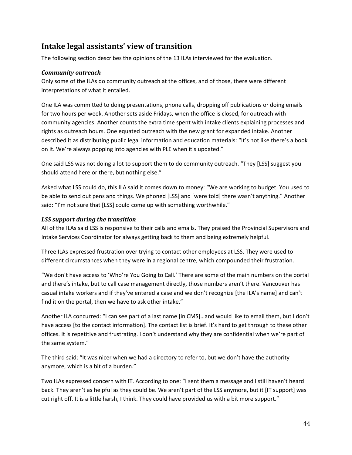### <span id="page-44-0"></span>**Intake legal assistants' view of transition**

The following section describes the opinions of the 13 ILAs interviewed for the evaluation.

### *Community outreach*

Only some of the ILAs do community outreach at the offices, and of those, there were different interpretations of what it entailed.

One ILA was committed to doing presentations, phone calls, dropping off publications or doing emails for two hours per week. Another sets aside Fridays, when the office is closed, for outreach with community agencies. Another counts the extra time spent with intake clients explaining processes and rights as outreach hours. One equated outreach with the new grant for expanded intake. Another described it as distributing public legal information and education materials: "It's not like there's a book on it. We're always popping into agencies with PLE when it's updated."

One said LSS was not doing a lot to support them to do community outreach. "They [LSS] suggest you should attend here or there, but nothing else."

Asked what LSS could do, this ILA said it comes down to money: "We are working to budget. You used to be able to send out pens and things. We phoned [LSS] and [were told] there wasn't anything." Another said: "I'm not sure that [LSS] could come up with something worthwhile."

#### *LSS support during the transition*

All of the ILAs said LSS is responsive to their calls and emails. They praised the Provincial Supervisors and Intake Services Coordinator for always getting back to them and being extremely helpful.

Three ILAs expressed frustration over trying to contact other employees at LSS. They were used to different circumstances when they were in a regional centre, which compounded their frustration.

"We don't have access to 'Who're You Going to Call.' There are some of the main numbers on the portal and there's intake, but to call case management directly, those numbers aren't there. Vancouver has casual intake workers and if they've entered a case and we don't recognize [the ILA's name] and can't find it on the portal, then we have to ask other intake."

Another ILA concurred: "I can see part of a last name [in CMS]…and would like to email them, but I don't have access [to the contact information]. The contact list is brief. It's hard to get through to these other offices. It is repetitive and frustrating. I don't understand why they are confidential when we're part of the same system."

The third said: "It was nicer when we had a directory to refer to, but we don't have the authority anymore, which is a bit of a burden."

Two ILAs expressed concern with IT. According to one: "I sent them a message and I still haven't heard back. They aren't as helpful as they could be. We aren't part of the LSS anymore, but it [IT support] was cut right off. It is a little harsh, I think. They could have provided us with a bit more support."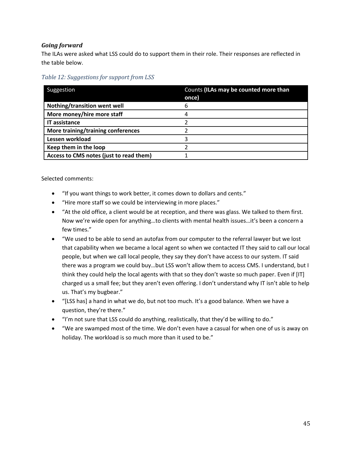### *Going forward*

The ILAs were asked what LSS could do to support them in their role. Their responses are reflected in the table below.

<span id="page-45-0"></span>*Table 12: Suggestions for support from LSS*

| Suggestion                              | Counts (ILAs may be counted more than<br>once) |
|-----------------------------------------|------------------------------------------------|
| Nothing/transition went well            | 6                                              |
| More money/hire more staff              | 4                                              |
| <b>IT assistance</b>                    |                                                |
| More training/training conferences      |                                                |
| Lessen workload                         |                                                |
| Keep them in the loop                   |                                                |
| Access to CMS notes (just to read them) |                                                |

Selected comments:

- "If you want things to work better, it comes down to dollars and cents."
- "Hire more staff so we could be interviewing in more places."
- "At the old office, a client would be at reception, and there was glass. We talked to them first. Now we're wide open for anything…to clients with mental health issues…it's been a concern a few times."
- "We used to be able to send an autofax from our computer to the referral lawyer but we lost that capability when we became a local agent so when we contacted IT they said to call our local people, but when we call local people, they say they don't have access to our system. IT said there was a program we could buy…but LSS won't allow them to access CMS. I understand, but I think they could help the local agents with that so they don't waste so much paper. Even if [IT] charged us a small fee; but they aren't even offering. I don't understand why IT isn't able to help us. That's my bugbear."
- "[LSS has] a hand in what we do, but not too much. It's a good balance. When we have a question, they're there."
- "I'm not sure that LSS could do anything, realistically, that they'd be willing to do."
- "We are swamped most of the time. We don't even have a casual for when one of us is away on holiday. The workload is so much more than it used to be."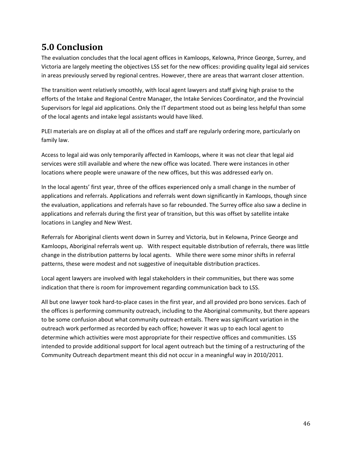# <span id="page-46-0"></span>**5.0 Conclusion**

The evaluation concludes that the local agent offices in Kamloops, Kelowna, Prince George, Surrey, and Victoria are largely meeting the objectives LSS set for the new offices: providing quality legal aid services in areas previously served by regional centres. However, there are areas that warrant closer attention.

The transition went relatively smoothly, with local agent lawyers and staff giving high praise to the efforts of the Intake and Regional Centre Manager, the Intake Services Coordinator, and the Provincial Supervisors for legal aid applications. Only the IT department stood out as being less helpful than some of the local agents and intake legal assistants would have liked.

PLEI materials are on display at all of the offices and staff are regularly ordering more, particularly on family law.

Access to legal aid was only temporarily affected in Kamloops, where it was not clear that legal aid services were still available and where the new office was located. There were instances in other locations where people were unaware of the new offices, but this was addressed early on.

In the local agents' first year, three of the offices experienced only a small change in the number of applications and referrals. Applications and referrals went down significantly in Kamloops, though since the evaluation, applications and referrals have so far rebounded. The Surrey office also saw a decline in applications and referrals during the first year of transition, but this was offset by satellite intake locations in Langley and New West.

Referrals for Aboriginal clients went down in Surrey and Victoria, but in Kelowna, Prince George and Kamloops, Aboriginal referrals went up. With respect equitable distribution of referrals, there was little change in the distribution patterns by local agents. While there were some minor shifts in referral patterns, these were modest and not suggestive of inequitable distribution practices.

Local agent lawyers are involved with legal stakeholders in their communities, but there was some indication that there is room for improvement regarding communication back to LSS.

All but one lawyer took hard-to-place cases in the first year, and all provided pro bono services. Each of the offices is performing community outreach, including to the Aboriginal community, but there appears to be some confusion about what community outreach entails. There was significant variation in the outreach work performed as recorded by each office; however it was up to each local agent to determine which activities were most appropriate for their respective offices and communities. LSS intended to provide additional support for local agent outreach but the timing of a restructuring of the Community Outreach department meant this did not occur in a meaningful way in 2010/2011.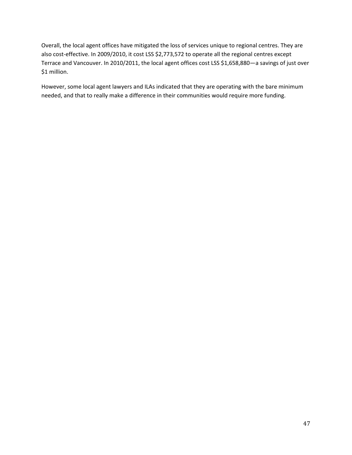Overall, the local agent offices have mitigated the loss of services unique to regional centres. They are also cost-effective. In 2009/2010, it cost LSS \$2,773,572 to operate all the regional centres except Terrace and Vancouver. In 2010/2011, the local agent offices cost LSS \$1,658,880—a savings of just over \$1 million.

However, some local agent lawyers and ILAs indicated that they are operating with the bare minimum needed, and that to really make a difference in their communities would require more funding.